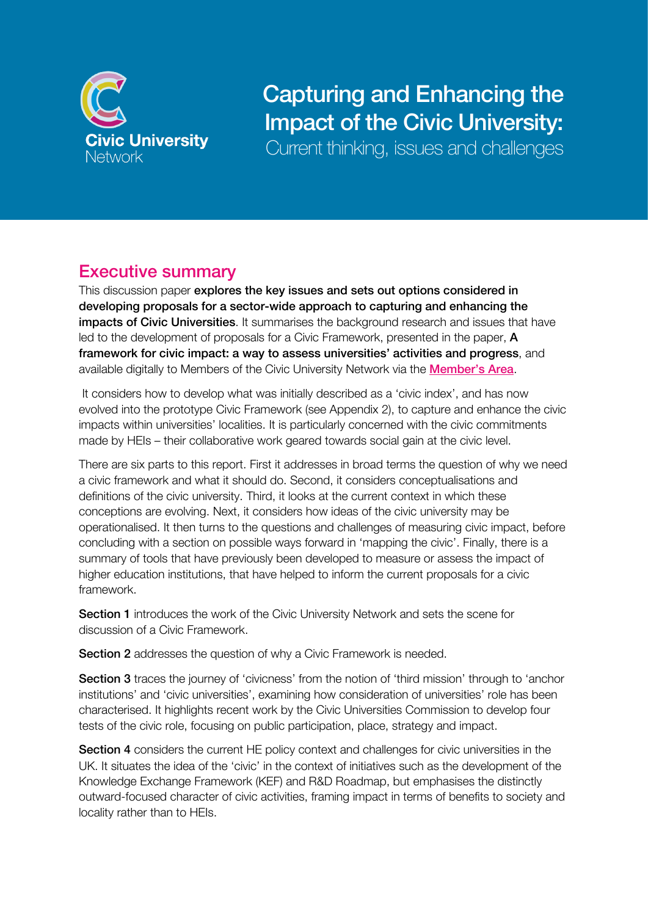

# Capturing and Enhancing the Impact of the Civic University:

Current thinking, issues and challenges

# Executive summary

This discussion paper explores the key issues and sets out options considered in developing proposals for a sector-wide approach to capturing and enhancing the impacts of Civic Universities. It summarises the background research and issues that have led to the development of proposals for a Civic Framework, presented in the paper, A framework for civic impact: a way to assess universities' activities and progress, and available digitally to Members of the Civic University Network via the Member's Area.

It considers how to develop what was initially described as a 'civic index', and has now evolved into the prototype Civic Framework (see Appendix 2), to capture and enhance the civic impacts within universities' localities. It is particularly concerned with the civic commitments made by HEIs – their collaborative work geared towards social gain at the civic level.

There are six parts to this report. First it addresses in broad terms the question of why we need a civic framework and what it should do. Second, it considers conceptualisations and definitions of the civic university. Third, it looks at the current context in which these conceptions are evolving. Next, it considers how ideas of the civic university may be operationalised. It then turns to the questions and challenges of measuring civic impact, before concluding with a section on possible ways forward in 'mapping the civic'. Finally, there is a summary of tools that have previously been developed to measure or assess the impact of higher education institutions, that have helped to inform the current proposals for a civic framework.

Section 1 introduces the work of the Civic University Network and sets the scene for discussion of a Civic Framework.

Section 2 addresses the question of why a Civic Framework is needed.

Section 3 traces the journey of 'civicness' from the notion of 'third mission' through to 'anchor institutions' and 'civic universities', examining how consideration of universities' role has been characterised. It highlights recent work by the Civic Universities Commission to develop four tests of the civic role, focusing on public participation, place, strategy and impact.

Section 4 considers the current HE policy context and challenges for civic universities in the UK. It situates the idea of the 'civic' in the context of initiatives such as the development of the Knowledge Exchange Framework (KEF) and R&D Roadmap, but emphasises the distinctly outward-focused character of civic activities, framing impact in terms of benefits to society and locality rather than to HEIs.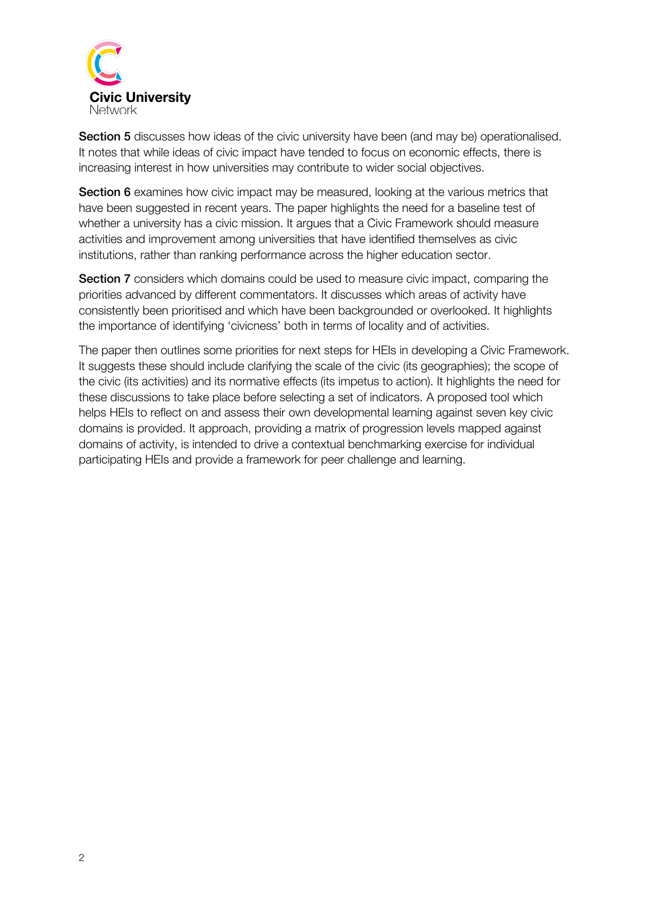

Section 5 discusses how ideas of the civic university have been (and may be) operationalised. It notes that while ideas of civic impact have tended to focus on economic effects, there is increasing interest in how universities may contribute to wider social objectives.

**Section 6** examines how civic impact may be measured, looking at the various metrics that have been suggested in recent years. The paper highlights the need for a baseline test of whether a university has a civic mission. It argues that a Civic Framework should measure activities and improvement among universities that have identified themselves as civic institutions, rather than ranking performance across the higher education sector.

Section 7 considers which domains could be used to measure civic impact, comparing the priorities advanced by different commentators. It discusses which areas of activity have consistently been prioritised and which have been backgrounded or overlooked. It highlights the importance of identifying 'civicness' both in terms of locality and of activities.

The paper then outlines some priorities for next steps for HEIs in developing a Civic Framework. It suggests these should include clarifying the scale of the civic (its geographies); the scope of the civic (its activities) and its normative effects (its impetus to action). It highlights the need for these discussions to take place before selecting a set of indicators. A proposed tool which helps HEIs to reflect on and assess their own developmental learning against seven key civic domains is provided. It approach, providing a matrix of progression levels mapped against domains of activity, is intended to drive a contextual benchmarking exercise for individual participating HEIs and provide a framework for peer challenge and learning.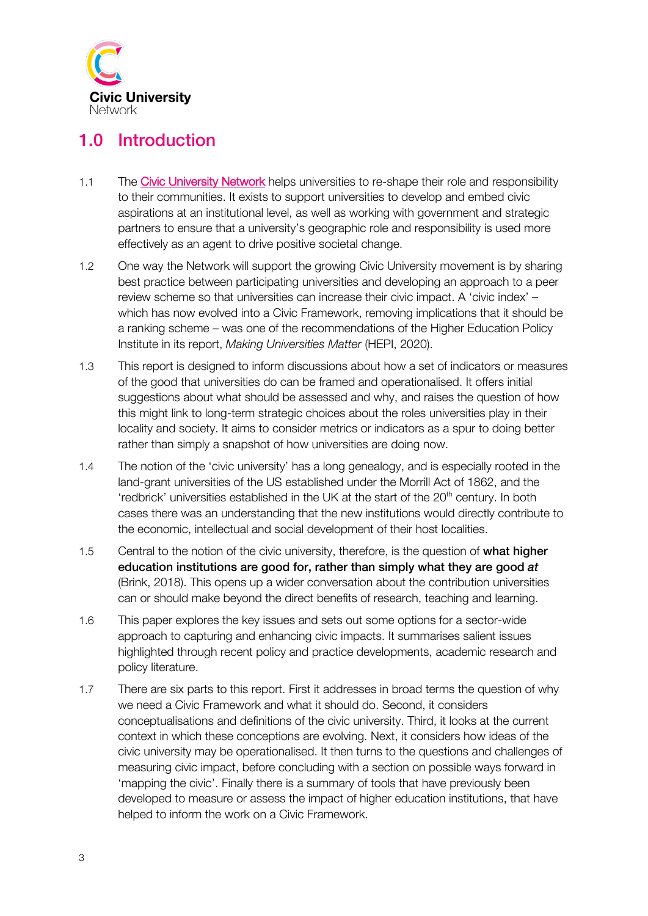

# 1.0 Introduction

- 1.1 The Civic University Network helps universities to re-shape their role and responsibility to their communities. It exists to support universities to develop and embed civic aspirations at an institutional level, as well as working with government and strategic partners to ensure that a university's geographic role and responsibility is used more effectively as an agent to drive positive societal change.
- 1.2 One way the Network will support the growing Civic University movement is by sharing best practice between participating universities and developing an approach to a peer review scheme so that universities can increase their civic impact. A 'civic index' – which has now evolved into a Civic Framework, removing implications that it should be a ranking scheme – was one of the recommendations of the Higher Education Policy Institute in its report, *Making Universities Matter* (HEPI, 2020).
- 1.3 This report is designed to inform discussions about how a set of indicators or measures of the good that universities do can be framed and operationalised. It offers initial suggestions about what should be assessed and why, and raises the question of how this might link to long-term strategic choices about the roles universities play in their locality and society. It aims to consider metrics or indicators as a spur to doing better rather than simply a snapshot of how universities are doing now.
- 1.4 The notion of the 'civic university' has a long genealogy, and is especially rooted in the land-grant universities of the US established under the Morrill Act of 1862, and the 'redbrick' universities established in the UK at the start of the  $20<sup>th</sup>$  century. In both cases there was an understanding that the new institutions would directly contribute to the economic, intellectual and social development of their host localities.
- 1.5 Central to the notion of the civic university, therefore, is the question of what higher education institutions are good for, rather than simply what they are good *at*  (Brink, 2018). This opens up a wider conversation about the contribution universities can or should make beyond the direct benefits of research, teaching and learning.
- 1.6 This paper explores the key issues and sets out some options for a sector-wide approach to capturing and enhancing civic impacts. It summarises salient issues highlighted through recent policy and practice developments, academic research and policy literature.
- 1.7 There are six parts to this report. First it addresses in broad terms the question of why we need a Civic Framework and what it should do. Second, it considers conceptualisations and definitions of the civic university. Third, it looks at the current context in which these conceptions are evolving. Next, it considers how ideas of the civic university may be operationalised. It then turns to the questions and challenges of measuring civic impact, before concluding with a section on possible ways forward in 'mapping the civic'. Finally there is a summary of tools that have previously been developed to measure or assess the impact of higher education institutions, that have helped to inform the work on a Civic Framework.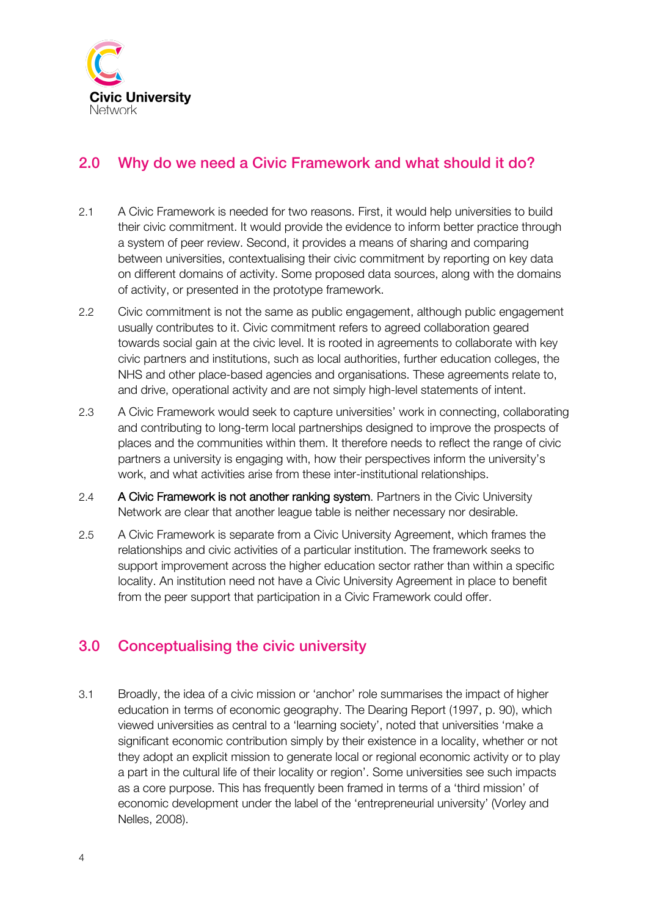

## 2.0 Why do we need a Civic Framework and what should it do?

- 2.1 A Civic Framework is needed for two reasons. First, it would help universities to build their civic commitment. It would provide the evidence to inform better practice through a system of peer review. Second, it provides a means of sharing and comparing between universities, contextualising their civic commitment by reporting on key data on different domains of activity. Some proposed data sources, along with the domains of activity, or presented in the prototype framework.
- 2.2 Civic commitment is not the same as public engagement, although public engagement usually contributes to it. Civic commitment refers to agreed collaboration geared towards social gain at the civic level. It is rooted in agreements to collaborate with key civic partners and institutions, such as local authorities, further education colleges, the NHS and other place-based agencies and organisations. These agreements relate to, and drive, operational activity and are not simply high-level statements of intent.
- 2.3 A Civic Framework would seek to capture universities' work in connecting, collaborating and contributing to long-term local partnerships designed to improve the prospects of places and the communities within them. It therefore needs to reflect the range of civic partners a university is engaging with, how their perspectives inform the university's work, and what activities arise from these inter-institutional relationships.
- 2.4 A Civic Framework is not another ranking system. Partners in the Civic University Network are clear that another league table is neither necessary nor desirable.
- 2.5 A Civic Framework is separate from a Civic University Agreement, which frames the relationships and civic activities of a particular institution. The framework seeks to support improvement across the higher education sector rather than within a specific locality. An institution need not have a Civic University Agreement in place to benefit from the peer support that participation in a Civic Framework could offer.

### 3.0 Conceptualising the civic university

3.1 Broadly, the idea of a civic mission or 'anchor' role summarises the impact of higher education in terms of economic geography. The Dearing Report (1997, p. 90), which viewed universities as central to a 'learning society', noted that universities 'make a significant economic contribution simply by their existence in a locality, whether or not they adopt an explicit mission to generate local or regional economic activity or to play a part in the cultural life of their locality or region'. Some universities see such impacts as a core purpose. This has frequently been framed in terms of a 'third mission' of economic development under the label of the 'entrepreneurial university' (Vorley and Nelles, 2008).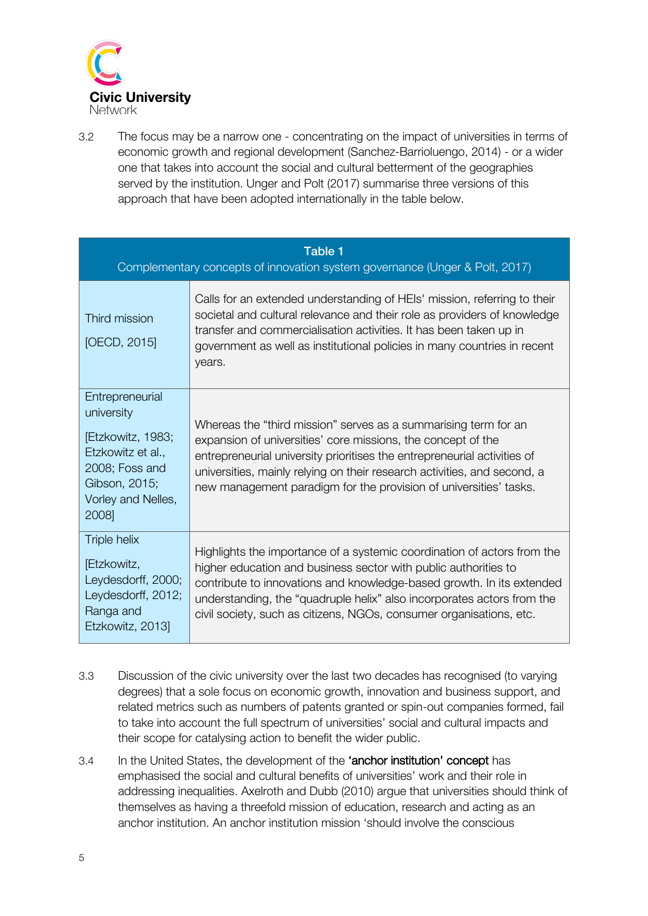

3.2 The focus may be a narrow one - concentrating on the impact of universities in terms of economic growth and regional development (Sanchez-Barrioluengo, 2014) - or a wider one that takes into account the social and cultural betterment of the geographies served by the institution. Unger and Polt (2017) summarise three versions of this approach that have been adopted internationally in the table below.

|                                                                                                                                           | <b>Table 1</b><br>Complementary concepts of innovation system governance (Unger & Polt, 2017)                                                                                                                                                                                                                                                                        |  |  |  |  |  |  |
|-------------------------------------------------------------------------------------------------------------------------------------------|----------------------------------------------------------------------------------------------------------------------------------------------------------------------------------------------------------------------------------------------------------------------------------------------------------------------------------------------------------------------|--|--|--|--|--|--|
| Third mission<br>[OECD, 2015]                                                                                                             | Calls for an extended understanding of HEIs' mission, referring to their<br>societal and cultural relevance and their role as providers of knowledge<br>transfer and commercialisation activities. It has been taken up in<br>government as well as institutional policies in many countries in recent<br>years.                                                     |  |  |  |  |  |  |
| Entrepreneurial<br>university<br>[Etzkowitz, 1983;<br>Etzkowitz et al.,<br>2008; Foss and<br>Gibson, 2015;<br>Vorley and Nelles,<br>2008] | Whereas the "third mission" serves as a summarising term for an<br>expansion of universities' core missions, the concept of the<br>entrepreneurial university prioritises the entrepreneurial activities of<br>universities, mainly relying on their research activities, and second, a<br>new management paradigm for the provision of universities' tasks.         |  |  |  |  |  |  |
| Triple helix<br>[Etzkowitz,<br>Leydesdorff, 2000;<br>Leydesdorff, 2012;<br>Ranga and<br>Etzkowitz, 2013]                                  | Highlights the importance of a systemic coordination of actors from the<br>higher education and business sector with public authorities to<br>contribute to innovations and knowledge-based growth. In its extended<br>understanding, the "quadruple helix" also incorporates actors from the<br>civil society, such as citizens, NGOs, consumer organisations, etc. |  |  |  |  |  |  |

- 3.3 Discussion of the civic university over the last two decades has recognised (to varying degrees) that a sole focus on economic growth, innovation and business support, and related metrics such as numbers of patents granted or spin-out companies formed, fail to take into account the full spectrum of universities' social and cultural impacts and their scope for catalysing action to benefit the wider public.
- 3.4 In the United States, the development of the 'anchor institution' concept has emphasised the social and cultural benefits of universities' work and their role in addressing inequalities. Axelroth and Dubb (2010) argue that universities should think of themselves as having a threefold mission of education, research and acting as an anchor institution. An anchor institution mission 'should involve the conscious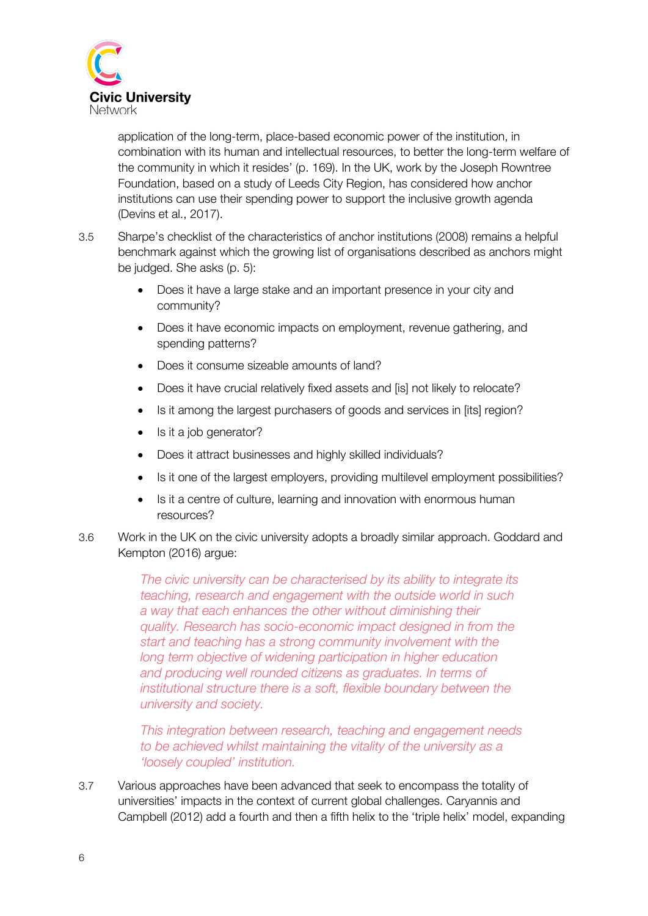

application of the long-term, place-based economic power of the institution, in combination with its human and intellectual resources, to better the long-term welfare of the community in which it resides' (p. 169). In the UK, work by the Joseph Rowntree Foundation, based on a study of Leeds City Region, has considered how anchor institutions can use their spending power to support the inclusive growth agenda (Devins et al., 2017).

- 3.5 Sharpe's checklist of the characteristics of anchor institutions (2008) remains a helpful benchmark against which the growing list of organisations described as anchors might be judged. She asks (p. 5):
	- Does it have a large stake and an important presence in your city and community?
	- Does it have economic impacts on employment, revenue gathering, and spending patterns?
	- Does it consume sizeable amounts of land?
	- Does it have crucial relatively fixed assets and [is] not likely to relocate?
	- Is it among the largest purchasers of goods and services in [its] region?
	- Is it a job generator?
	- Does it attract businesses and highly skilled individuals?
	- Is it one of the largest employers, providing multilevel employment possibilities?
	- Is it a centre of culture, learning and innovation with enormous human resources?
- 3.6 Work in the UK on the civic university adopts a broadly similar approach. Goddard and Kempton (2016) argue:

*The civic university can be characterised by its ability to integrate its teaching, research and engagement with the outside world in such a way that each enhances the other without diminishing their quality. Research has socio-economic impact designed in from the start and teaching has a strong community involvement with the long term objective of widening participation in higher education and producing well rounded citizens as graduates. In terms of institutional structure there is a soft, flexible boundary between the university and society.* 

*This integration between research, teaching and engagement needs to be achieved whilst maintaining the vitality of the university as a 'loosely coupled' institution.* 

3.7 Various approaches have been advanced that seek to encompass the totality of universities' impacts in the context of current global challenges. Caryannis and Campbell (2012) add a fourth and then a fifth helix to the 'triple helix' model, expanding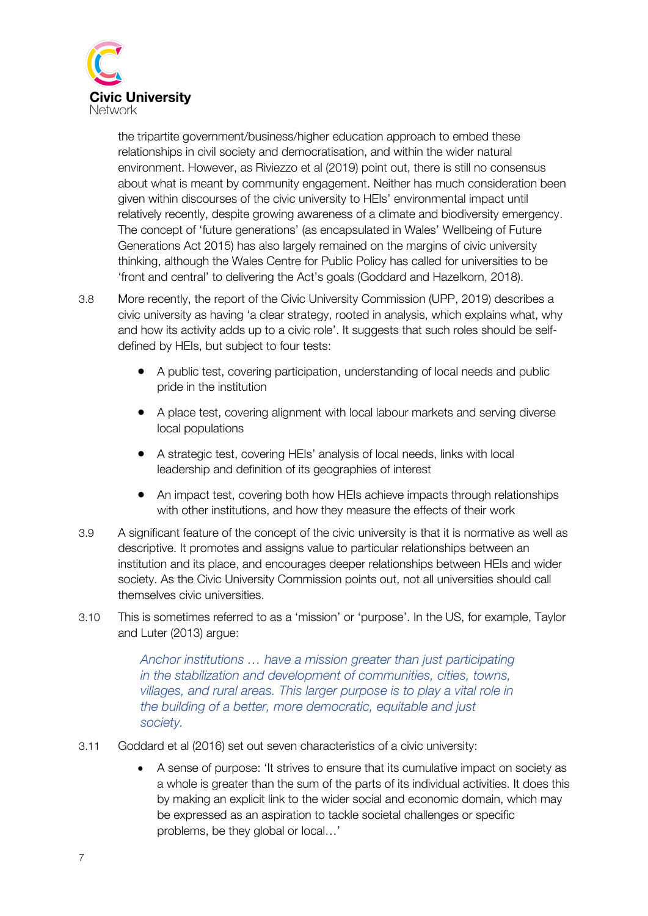

the tripartite government/business/higher education approach to embed these relationships in civil society and democratisation, and within the wider natural environment. However, as Riviezzo et al (2019) point out, there is still no consensus about what is meant by community engagement. Neither has much consideration been given within discourses of the civic university to HEIs' environmental impact until relatively recently, despite growing awareness of a climate and biodiversity emergency. The concept of 'future generations' (as encapsulated in Wales' Wellbeing of Future Generations Act 2015) has also largely remained on the margins of civic university thinking, although the Wales Centre for Public Policy has called for universities to be 'front and central' to delivering the Act's goals (Goddard and Hazelkorn, 2018).

- 3.8 More recently, the report of the Civic University Commission (UPP, 2019) describes a civic university as having 'a clear strategy, rooted in analysis, which explains what, why and how its activity adds up to a civic role'. It suggests that such roles should be selfdefined by HEIs, but subject to four tests:
	- A public test, covering participation, understanding of local needs and public pride in the institution
	- A place test, covering alignment with local labour markets and serving diverse local populations
	- A strategic test, covering HEIs' analysis of local needs, links with local leadership and definition of its geographies of interest
	- An impact test, covering both how HEIs achieve impacts through relationships with other institutions, and how they measure the effects of their work
- 3.9 A significant feature of the concept of the civic university is that it is normative as well as descriptive. It promotes and assigns value to particular relationships between an institution and its place, and encourages deeper relationships between HEIs and wider society. As the Civic University Commission points out, not all universities should call themselves civic universities.
- 3.10 This is sometimes referred to as a 'mission' or 'purpose'. In the US, for example, Taylor and Luter (2013) argue:

*Anchor institutions … have a mission greater than just participating in the stabilization and development of communities, cities, towns, villages, and rural areas. This larger purpose is to play a vital role in the building of a better, more democratic, equitable and just society.*

- 3.11 Goddard et al (2016) set out seven characteristics of a civic university:
	- A sense of purpose: 'It strives to ensure that its cumulative impact on society as a whole is greater than the sum of the parts of its individual activities. It does this by making an explicit link to the wider social and economic domain, which may be expressed as an aspiration to tackle societal challenges or specific problems, be they global or local…'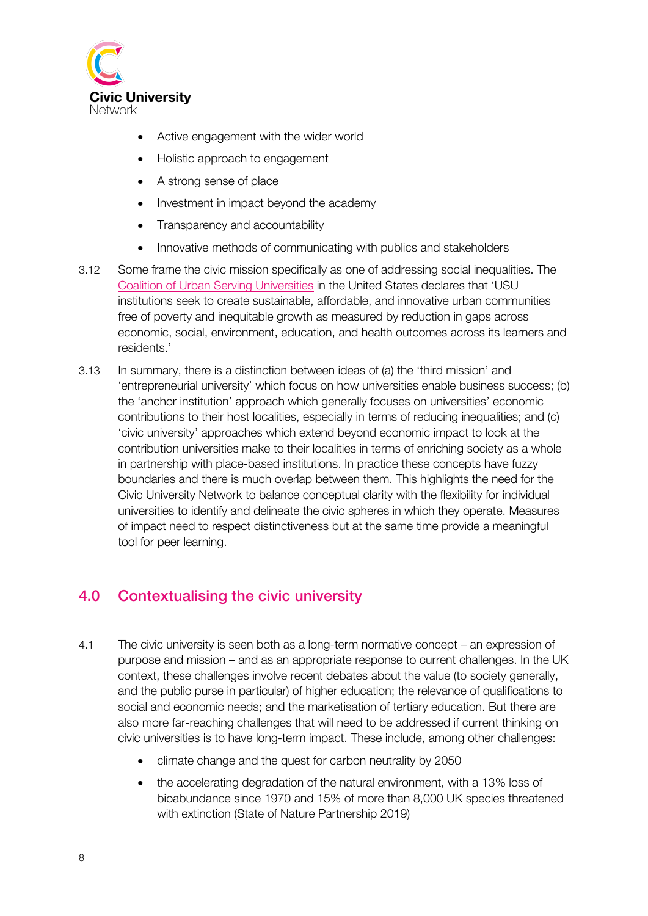

- Active engagement with the wider world
- Holistic approach to engagement
- A strong sense of place
- Investment in impact beyond the academy
- Transparency and accountability
- Innovative methods of communicating with publics and stakeholders
- 3.12 Some frame the civic mission specifically as one of addressing social inequalities. The Coalition of Urban Serving Universities in the United States declares that 'USU institutions seek to create sustainable, affordable, and innovative urban communities free of poverty and inequitable growth as measured by reduction in gaps across economic, social, environment, education, and health outcomes across its learners and residents.'
- 3.13 In summary, there is a distinction between ideas of (a) the 'third mission' and 'entrepreneurial university' which focus on how universities enable business success; (b) the 'anchor institution' approach which generally focuses on universities' economic contributions to their host localities, especially in terms of reducing inequalities; and (c) 'civic university' approaches which extend beyond economic impact to look at the contribution universities make to their localities in terms of enriching society as a whole in partnership with place-based institutions. In practice these concepts have fuzzy boundaries and there is much overlap between them. This highlights the need for the Civic University Network to balance conceptual clarity with the flexibility for individual universities to identify and delineate the civic spheres in which they operate. Measures of impact need to respect distinctiveness but at the same time provide a meaningful tool for peer learning.

### 4.0 Contextualising the civic university

- 4.1 The civic university is seen both as a long-term normative concept an expression of purpose and mission – and as an appropriate response to current challenges. In the UK context, these challenges involve recent debates about the value (to society generally, and the public purse in particular) of higher education; the relevance of qualifications to social and economic needs; and the marketisation of tertiary education. But there are also more far-reaching challenges that will need to be addressed if current thinking on civic universities is to have long-term impact. These include, among other challenges:
	- climate change and the quest for carbon neutrality by 2050
	- the accelerating degradation of the natural environment, with a 13% loss of bioabundance since 1970 and 15% of more than 8,000 UK species threatened with extinction (State of Nature Partnership 2019)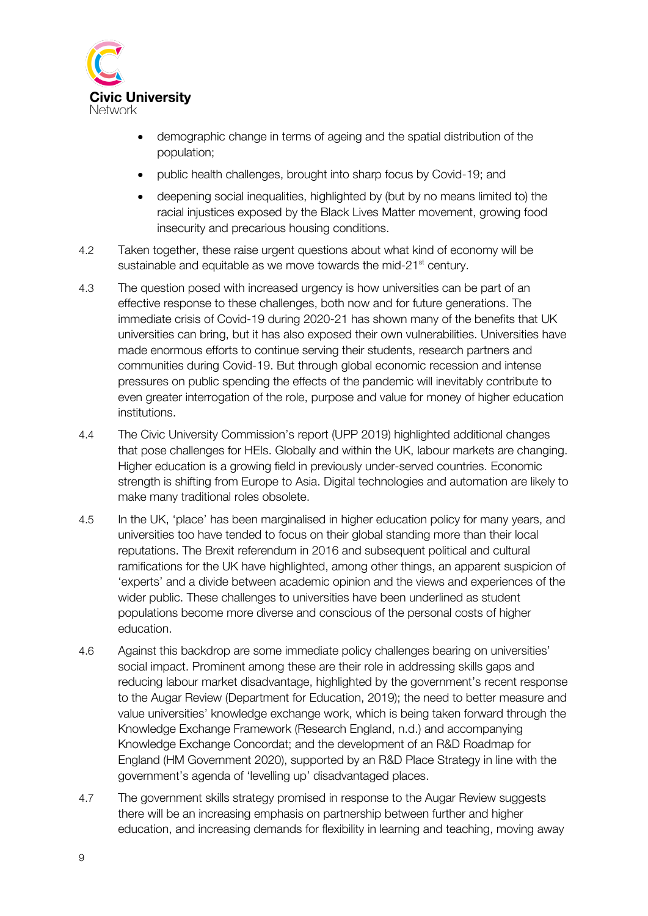

- demographic change in terms of ageing and the spatial distribution of the population;
- public health challenges, brought into sharp focus by Covid-19; and
- deepening social inequalities, highlighted by (but by no means limited to) the racial injustices exposed by the Black Lives Matter movement, growing food insecurity and precarious housing conditions.
- 4.2 Taken together, these raise urgent questions about what kind of economy will be sustainable and equitable as we move towards the mid-21<sup>st</sup> century.
- 4.3 The question posed with increased urgency is how universities can be part of an effective response to these challenges, both now and for future generations. The immediate crisis of Covid-19 during 2020-21 has shown many of the benefits that UK universities can bring, but it has also exposed their own vulnerabilities. Universities have made enormous efforts to continue serving their students, research partners and communities during Covid-19. But through global economic recession and intense pressures on public spending the effects of the pandemic will inevitably contribute to even greater interrogation of the role, purpose and value for money of higher education institutions.
- 4.4 The Civic University Commission's report (UPP 2019) highlighted additional changes that pose challenges for HEIs. Globally and within the UK, labour markets are changing. Higher education is a growing field in previously under-served countries. Economic strength is shifting from Europe to Asia. Digital technologies and automation are likely to make many traditional roles obsolete.
- 4.5 In the UK, 'place' has been marginalised in higher education policy for many years, and universities too have tended to focus on their global standing more than their local reputations. The Brexit referendum in 2016 and subsequent political and cultural ramifications for the UK have highlighted, among other things, an apparent suspicion of 'experts' and a divide between academic opinion and the views and experiences of the wider public. These challenges to universities have been underlined as student populations become more diverse and conscious of the personal costs of higher education.
- 4.6 Against this backdrop are some immediate policy challenges bearing on universities' social impact. Prominent among these are their role in addressing skills gaps and reducing labour market disadvantage, highlighted by the government's recent response to the Augar Review (Department for Education, 2019); the need to better measure and value universities' knowledge exchange work, which is being taken forward through the Knowledge Exchange Framework (Research England, n.d.) and accompanying Knowledge Exchange Concordat; and the development of an R&D Roadmap for England (HM Government 2020), supported by an R&D Place Strategy in line with the government's agenda of 'levelling up' disadvantaged places.
- 4.7 The government skills strategy promised in response to the Augar Review suggests there will be an increasing emphasis on partnership between further and higher education, and increasing demands for flexibility in learning and teaching, moving away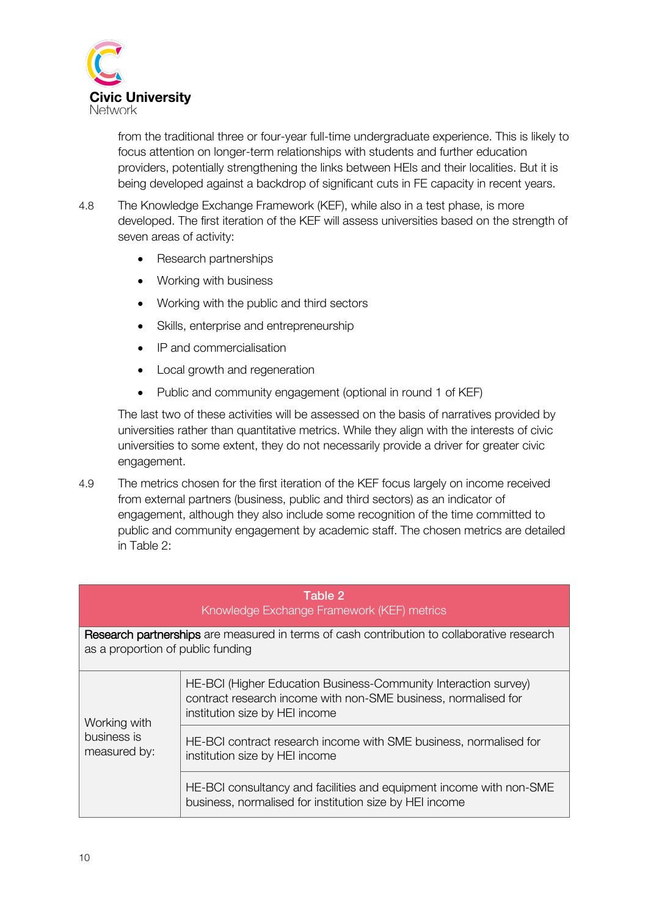

from the traditional three or four-year full-time undergraduate experience. This is likely to focus attention on longer-term relationships with students and further education providers, potentially strengthening the links between HEIs and their localities. But it is being developed against a backdrop of significant cuts in FE capacity in recent years.

- 4.8 The Knowledge Exchange Framework (KEF), while also in a test phase, is more developed. The first iteration of the KEF will assess universities based on the strength of seven areas of activity:
	- Research partnerships
	- Working with business
	- Working with the public and third sectors
	- Skills, enterprise and entrepreneurship
	- IP and commercialisation
	- Local growth and regeneration
	- Public and community engagement (optional in round 1 of KEF)

The last two of these activities will be assessed on the basis of narratives provided by universities rather than quantitative metrics. While they align with the interests of civic universities to some extent, they do not necessarily provide a driver for greater civic engagement.

4.9 The metrics chosen for the first iteration of the KEF focus largely on income received from external partners (business, public and third sectors) as an indicator of engagement, although they also include some recognition of the time committed to public and community engagement by academic staff. The chosen metrics are detailed in Table 2:

| Table 2<br>Knowledge Exchange Framework (KEF) metrics                                                                           |                                                                                                                                                                     |  |  |  |  |  |
|---------------------------------------------------------------------------------------------------------------------------------|---------------------------------------------------------------------------------------------------------------------------------------------------------------------|--|--|--|--|--|
| Research partnerships are measured in terms of cash contribution to collaborative research<br>as a proportion of public funding |                                                                                                                                                                     |  |  |  |  |  |
| Working with<br>business is<br>measured by:                                                                                     | HE-BCI (Higher Education Business-Community Interaction survey)<br>contract research income with non-SME business, normalised for<br>institution size by HEI income |  |  |  |  |  |
|                                                                                                                                 | HE-BCI contract research income with SME business, normalised for<br>institution size by HEI income                                                                 |  |  |  |  |  |
|                                                                                                                                 | HE-BCI consultancy and facilities and equipment income with non-SME<br>business, normalised for institution size by HEI income                                      |  |  |  |  |  |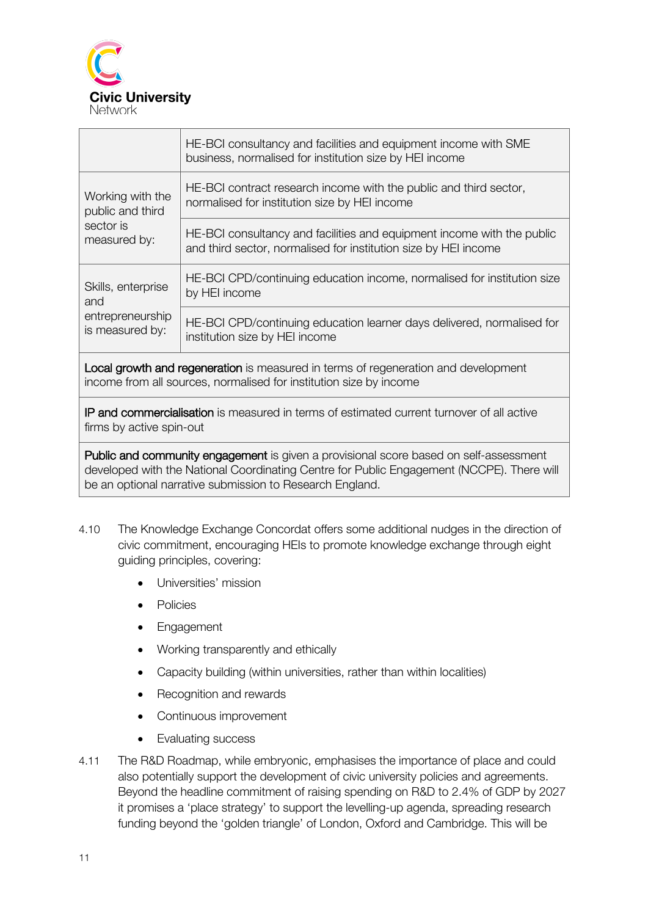

| HE-BCI consultancy and facilities and equipment income with SME<br>business, normalised for institution size by HEI income                |
|-------------------------------------------------------------------------------------------------------------------------------------------|
| HE-BCI contract research income with the public and third sector,<br>normalised for institution size by HEI income                        |
| HE-BCI consultancy and facilities and equipment income with the public<br>and third sector, normalised for institution size by HEI income |
| HE-BCI CPD/continuing education income, normalised for institution size<br>by HEI income                                                  |
| HE-BCI CPD/continuing education learner days delivered, normalised for<br>institution size by HEI income                                  |
|                                                                                                                                           |

Local growth and regeneration is measured in terms of regeneration and development income from all sources, normalised for institution size by income

IP and commercialisation is measured in terms of estimated current turnover of all active firms by active spin-out

Public and community engagement is given a provisional score based on self-assessment developed with the National Coordinating Centre for Public Engagement (NCCPE). There will be an optional narrative submission to Research England.

- 4.10 The Knowledge Exchange Concordat offers some additional nudges in the direction of civic commitment, encouraging HEIs to promote knowledge exchange through eight guiding principles, covering:
	- Universities' mission
	- Policies
	- Engagement
	- Working transparently and ethically
	- Capacity building (within universities, rather than within localities)
	- Recognition and rewards
	- Continuous improvement
	- Evaluating success
- 4.11 The R&D Roadmap, while embryonic, emphasises the importance of place and could also potentially support the development of civic university policies and agreements. Beyond the headline commitment of raising spending on R&D to 2.4% of GDP by 2027 it promises a 'place strategy' to support the levelling-up agenda, spreading research funding beyond the 'golden triangle' of London, Oxford and Cambridge. This will be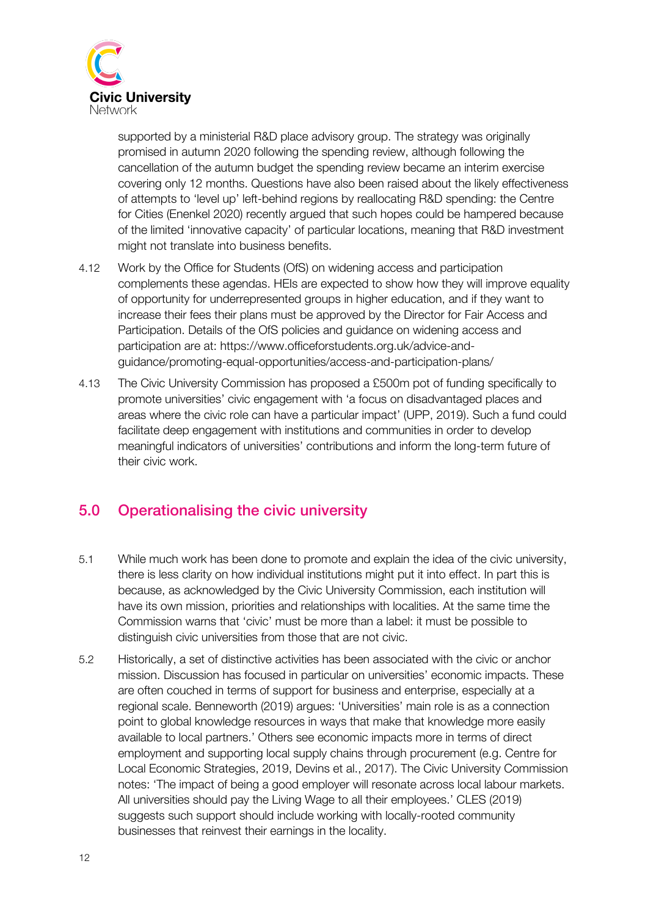

supported by a ministerial R&D place advisory group. The strategy was originally promised in autumn 2020 following the spending review, although following the cancellation of the autumn budget the spending review became an interim exercise covering only 12 months. Questions have also been raised about the likely effectiveness of attempts to 'level up' left-behind regions by reallocating R&D spending: the Centre for Cities (Enenkel 2020) recently argued that such hopes could be hampered because of the limited 'innovative capacity' of particular locations, meaning that R&D investment might not translate into business benefits.

- 4.12 Work by the Office for Students (OfS) on widening access and participation complements these agendas. HEIs are expected to show how they will improve equality of opportunity for underrepresented groups in higher education, and if they want to increase their fees their plans must be approved by the Director for Fair Access and Participation. Details of the OfS policies and guidance on widening access and participation are at: https://www.officeforstudents.org.uk/advice-andguidance/promoting-equal-opportunities/access-and-participation-plans/
- 4.13 The Civic University Commission has proposed a £500m pot of funding specifically to promote universities' civic engagement with 'a focus on disadvantaged places and areas where the civic role can have a particular impact' (UPP, 2019). Such a fund could facilitate deep engagement with institutions and communities in order to develop meaningful indicators of universities' contributions and inform the long-term future of their civic work.

### 5.0 Operationalising the civic university

- 5.1 While much work has been done to promote and explain the idea of the civic university, there is less clarity on how individual institutions might put it into effect. In part this is because, as acknowledged by the Civic University Commission, each institution will have its own mission, priorities and relationships with localities. At the same time the Commission warns that 'civic' must be more than a label: it must be possible to distinguish civic universities from those that are not civic.
- 5.2 Historically, a set of distinctive activities has been associated with the civic or anchor mission. Discussion has focused in particular on universities' economic impacts. These are often couched in terms of support for business and enterprise, especially at a regional scale. Benneworth (2019) argues: 'Universities' main role is as a connection point to global knowledge resources in ways that make that knowledge more easily available to local partners.' Others see economic impacts more in terms of direct employment and supporting local supply chains through procurement (e.g. Centre for Local Economic Strategies, 2019, Devins et al., 2017). The Civic University Commission notes: 'The impact of being a good employer will resonate across local labour markets. All universities should pay the Living Wage to all their employees.' CLES (2019) suggests such support should include working with locally-rooted community businesses that reinvest their earnings in the locality.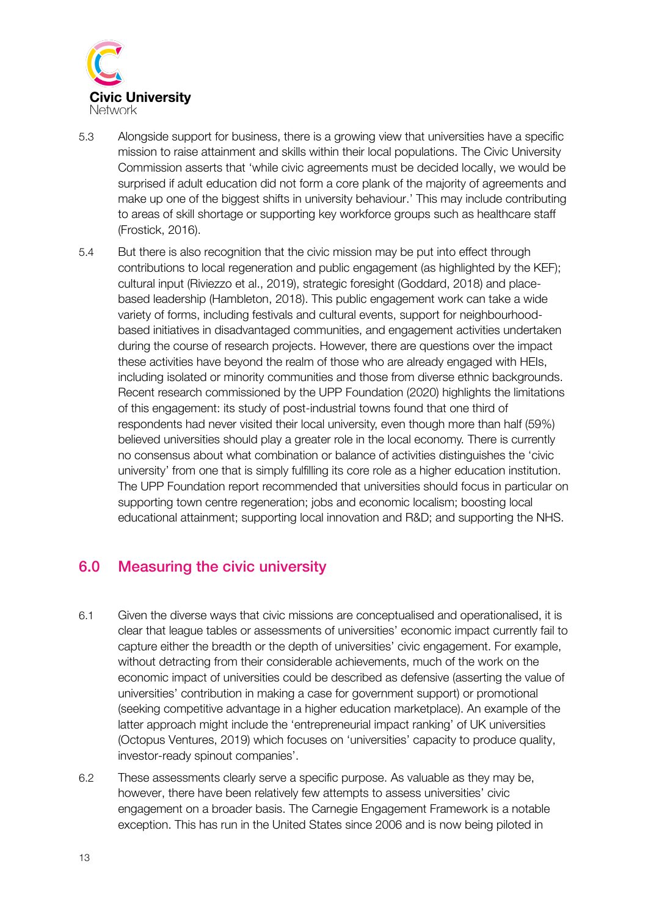

- 5.3 Alongside support for business, there is a growing view that universities have a specific mission to raise attainment and skills within their local populations. The Civic University Commission asserts that 'while civic agreements must be decided locally, we would be surprised if adult education did not form a core plank of the majority of agreements and make up one of the biggest shifts in university behaviour.' This may include contributing to areas of skill shortage or supporting key workforce groups such as healthcare staff (Frostick, 2016).
- 5.4 But there is also recognition that the civic mission may be put into effect through contributions to local regeneration and public engagement (as highlighted by the KEF); cultural input (Riviezzo et al., 2019), strategic foresight (Goddard, 2018) and placebased leadership (Hambleton, 2018). This public engagement work can take a wide variety of forms, including festivals and cultural events, support for neighbourhoodbased initiatives in disadvantaged communities, and engagement activities undertaken during the course of research projects. However, there are questions over the impact these activities have beyond the realm of those who are already engaged with HEIs, including isolated or minority communities and those from diverse ethnic backgrounds. Recent research commissioned by the UPP Foundation (2020) highlights the limitations of this engagement: its study of post-industrial towns found that one third of respondents had never visited their local university, even though more than half (59%) believed universities should play a greater role in the local economy. There is currently no consensus about what combination or balance of activities distinguishes the 'civic university' from one that is simply fulfilling its core role as a higher education institution. The UPP Foundation report recommended that universities should focus in particular on supporting town centre regeneration; jobs and economic localism; boosting local educational attainment; supporting local innovation and R&D; and supporting the NHS.

### 6.0 Measuring the civic university

- 6.1 Given the diverse ways that civic missions are conceptualised and operationalised, it is clear that league tables or assessments of universities' economic impact currently fail to capture either the breadth or the depth of universities' civic engagement. For example, without detracting from their considerable achievements, much of the work on the economic impact of universities could be described as defensive (asserting the value of universities' contribution in making a case for government support) or promotional (seeking competitive advantage in a higher education marketplace). An example of the latter approach might include the 'entrepreneurial impact ranking' of UK universities (Octopus Ventures, 2019) which focuses on 'universities' capacity to produce quality, investor-ready spinout companies'.
- 6.2 These assessments clearly serve a specific purpose. As valuable as they may be, however, there have been relatively few attempts to assess universities' civic engagement on a broader basis. The Carnegie Engagement Framework is a notable exception. This has run in the United States since 2006 and is now being piloted in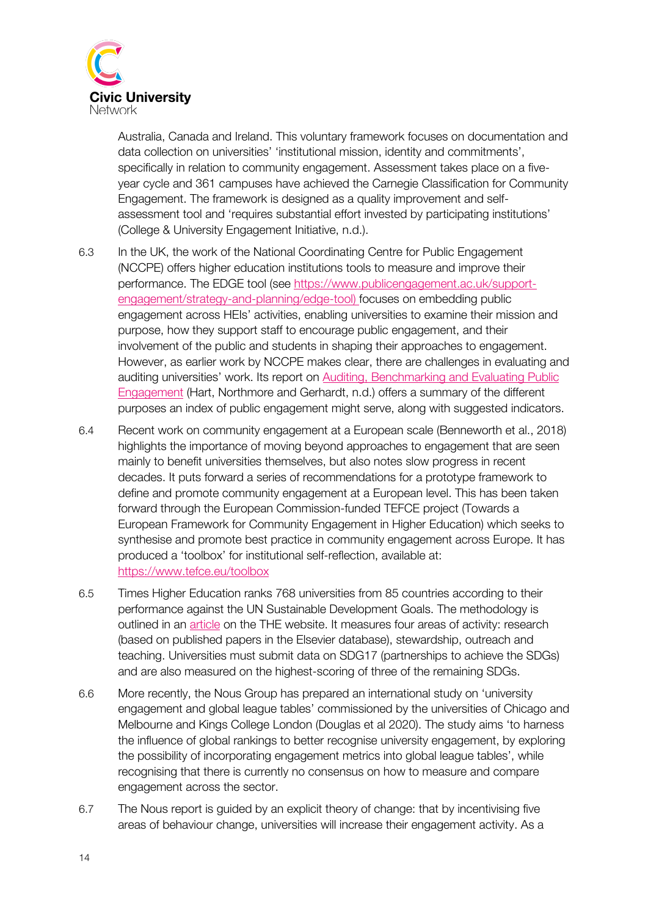

Australia, Canada and Ireland. This voluntary framework focuses on documentation and data collection on universities' 'institutional mission, identity and commitments', specifically in relation to community engagement. Assessment takes place on a fiveyear cycle and 361 campuses have achieved the Carnegie Classification for Community Engagement. The framework is designed as a quality improvement and selfassessment tool and 'requires substantial effort invested by participating institutions' (College & University Engagement Initiative, n.d.).

- 6.3 In the UK, the work of the National Coordinating Centre for Public Engagement (NCCPE) offers higher education institutions tools to measure and improve their performance. The EDGE tool (see https://www.publicengagement.ac.uk/supportengagement/strategy-and-planning/edge-tool) focuses on embedding public engagement across HEIs' activities, enabling universities to examine their mission and purpose, how they support staff to encourage public engagement, and their involvement of the public and students in shaping their approaches to engagement. However, as earlier work by NCCPE makes clear, there are challenges in evaluating and auditing universities' work. Its report on Auditing, Benchmarking and Evaluating Public Engagement (Hart, Northmore and Gerhardt, n.d.) offers a summary of the different purposes an index of public engagement might serve, along with suggested indicators.
- 6.4 Recent work on community engagement at a European scale (Benneworth et al., 2018) highlights the importance of moving beyond approaches to engagement that are seen mainly to benefit universities themselves, but also notes slow progress in recent decades. It puts forward a series of recommendations for a prototype framework to define and promote community engagement at a European level. This has been taken forward through the European Commission-funded TEFCE project (Towards a European Framework for Community Engagement in Higher Education) which seeks to synthesise and promote best practice in community engagement across Europe. It has produced a 'toolbox' for institutional self-reflection, available at: https://www.tefce.eu/toolbox
- 6.5 Times Higher Education ranks 768 universities from 85 countries according to their performance against the UN Sustainable Development Goals. The methodology is outlined in an article on the THE website. It measures four areas of activity: research (based on published papers in the Elsevier database), stewardship, outreach and teaching. Universities must submit data on SDG17 (partnerships to achieve the SDGs) and are also measured on the highest-scoring of three of the remaining SDGs.
- 6.6 More recently, the Nous Group has prepared an international study on 'university engagement and global league tables' commissioned by the universities of Chicago and Melbourne and Kings College London (Douglas et al 2020). The study aims 'to harness the influence of global rankings to better recognise university engagement, by exploring the possibility of incorporating engagement metrics into global league tables', while recognising that there is currently no consensus on how to measure and compare engagement across the sector.
- 6.7 The Nous report is guided by an explicit theory of change: that by incentivising five areas of behaviour change, universities will increase their engagement activity. As a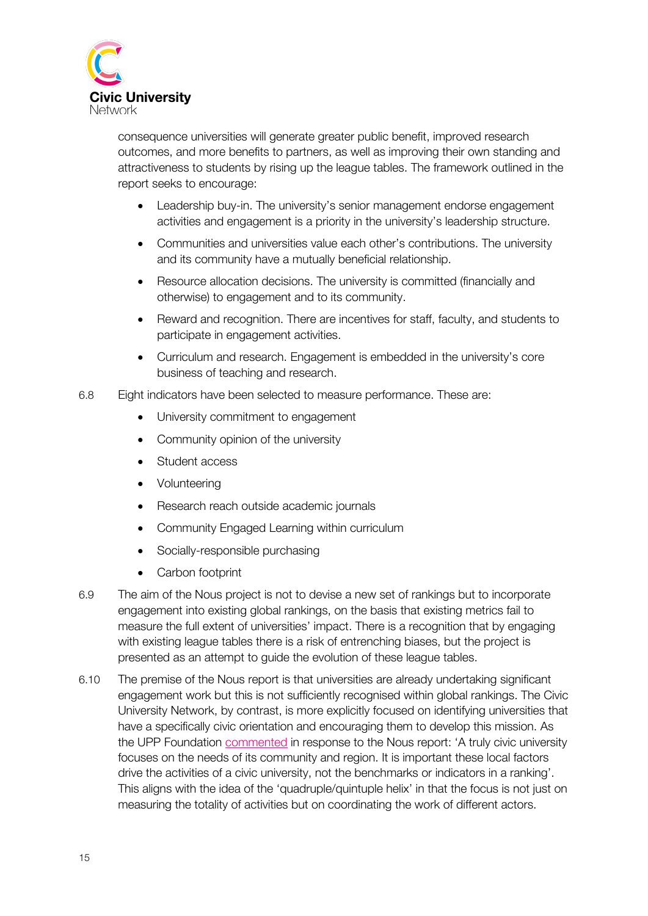

consequence universities will generate greater public benefit, improved research outcomes, and more benefits to partners, as well as improving their own standing and attractiveness to students by rising up the league tables. The framework outlined in the report seeks to encourage:

- Leadership buy-in. The university's senior management endorse engagement activities and engagement is a priority in the university's leadership structure.
- Communities and universities value each other's contributions. The university and its community have a mutually beneficial relationship.
- Resource allocation decisions. The university is committed (financially and otherwise) to engagement and to its community.
- Reward and recognition. There are incentives for staff, faculty, and students to participate in engagement activities.
- Curriculum and research. Engagement is embedded in the university's core business of teaching and research.
- 6.8 Eight indicators have been selected to measure performance. These are:
	- University commitment to engagement
	- Community opinion of the university
	- Student access
	- Volunteering
	- Research reach outside academic journals
	- Community Engaged Learning within curriculum
	- Socially-responsible purchasing
	- Carbon footprint
- 6.9 The aim of the Nous project is not to devise a new set of rankings but to incorporate engagement into existing global rankings, on the basis that existing metrics fail to measure the full extent of universities' impact. There is a recognition that by engaging with existing league tables there is a risk of entrenching biases, but the project is presented as an attempt to guide the evolution of these league tables.
- 6.10 The premise of the Nous report is that universities are already undertaking significant engagement work but this is not sufficiently recognised within global rankings. The Civic University Network, by contrast, is more explicitly focused on identifying universities that have a specifically civic orientation and encouraging them to develop this mission. As the UPP Foundation commented in response to the Nous report: 'A truly civic university focuses on the needs of its community and region. It is important these local factors drive the activities of a civic university, not the benchmarks or indicators in a ranking'. This aligns with the idea of the 'quadruple/quintuple helix' in that the focus is not just on measuring the totality of activities but on coordinating the work of different actors.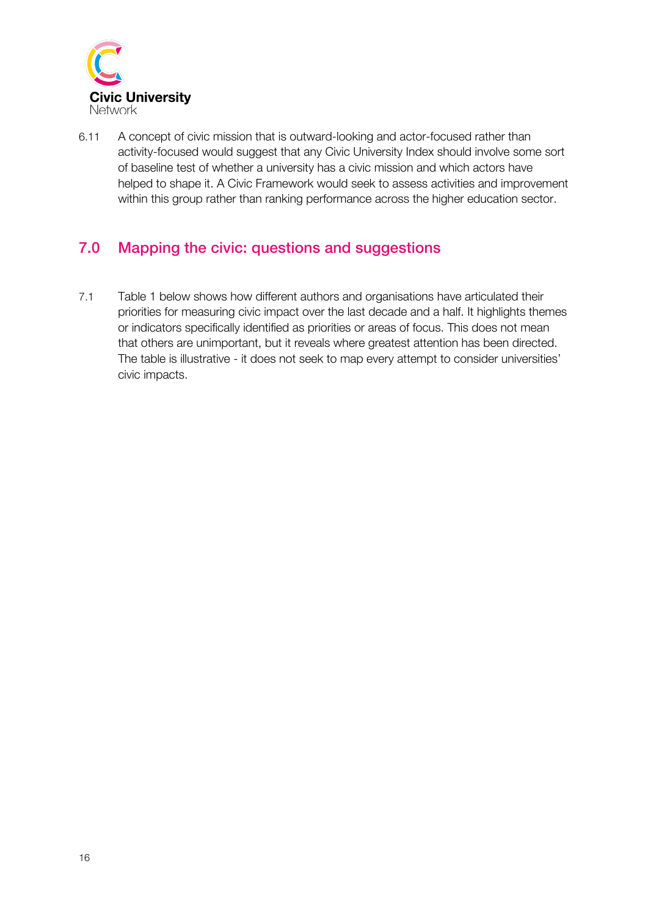

6.11 A concept of civic mission that is outward-looking and actor-focused rather than activity-focused would suggest that any Civic University Index should involve some sort of baseline test of whether a university has a civic mission and which actors have helped to shape it. A Civic Framework would seek to assess activities and improvement within this group rather than ranking performance across the higher education sector.

## 7.0 Mapping the civic: questions and suggestions

7.1 Table 1 below shows how different authors and organisations have articulated their priorities for measuring civic impact over the last decade and a half. It highlights themes or indicators specifically identified as priorities or areas of focus. This does not mean that others are unimportant, but it reveals where greatest attention has been directed. The table is illustrative - it does not seek to map every attempt to consider universities' civic impacts.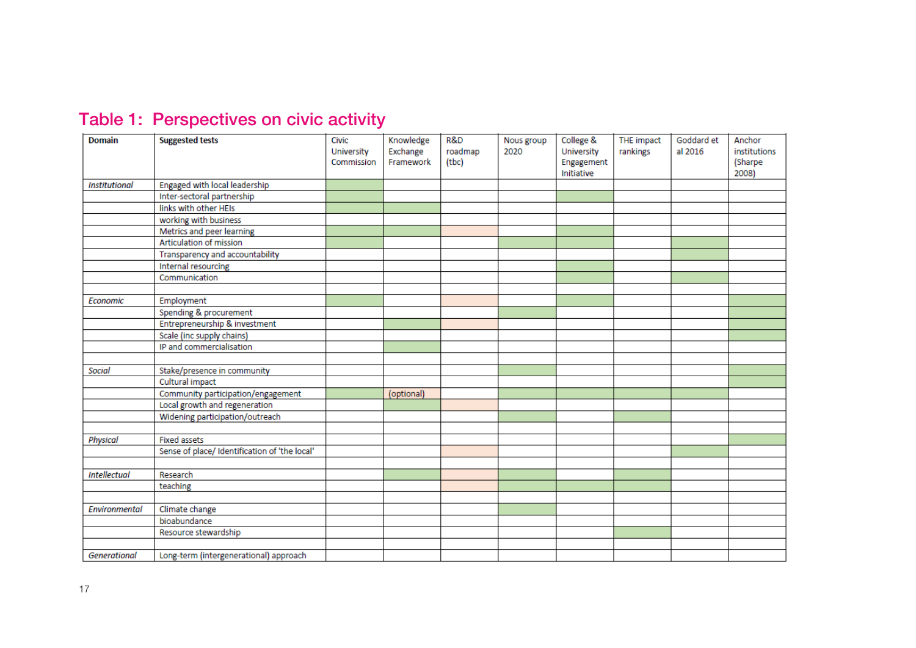| Table 1: Perspectives on civic activity |  |
|-----------------------------------------|--|
|                                         |  |

| <b>Domain</b>        | <b>Suggested tests</b>                        | Civic      | Knowledge  | R&D     | Nous group | College &  | THE impact | Goddard et | Anchor       |
|----------------------|-----------------------------------------------|------------|------------|---------|------------|------------|------------|------------|--------------|
|                      |                                               | University | Exchange   | roadmap | 2020       | University | rankings   | al 2016    | institutions |
|                      |                                               | Commission | Framework  | (tbc)   |            | Engagement |            |            | (Sharpe      |
|                      |                                               |            |            |         |            | Initiative |            |            | 2008)        |
| <b>Institutional</b> | Engaged with local leadership                 |            |            |         |            |            |            |            |              |
|                      | Inter-sectoral partnership                    |            |            |         |            |            |            |            |              |
|                      | links with other HEIs                         |            |            |         |            |            |            |            |              |
|                      | working with business                         |            |            |         |            |            |            |            |              |
|                      | Metrics and peer learning                     |            |            |         |            |            |            |            |              |
|                      | Articulation of mission                       |            |            |         |            |            |            |            |              |
|                      | Transparency and accountability               |            |            |         |            |            |            |            |              |
|                      | Internal resourcing                           |            |            |         |            |            |            |            |              |
|                      | Communication                                 |            |            |         |            |            |            |            |              |
|                      |                                               |            |            |         |            |            |            |            |              |
| Economic             | Employment                                    |            |            |         |            |            |            |            |              |
|                      | Spending & procurement                        |            |            |         |            |            |            |            |              |
|                      | Entrepreneurship & investment                 |            |            |         |            |            |            |            |              |
|                      | Scale (inc supply chains)                     |            |            |         |            |            |            |            |              |
|                      | IP and commercialisation                      |            |            |         |            |            |            |            |              |
|                      |                                               |            |            |         |            |            |            |            |              |
| <b>Social</b>        | Stake/presence in community                   |            |            |         |            |            |            |            |              |
|                      | Cultural impact                               |            |            |         |            |            |            |            |              |
|                      | Community participation/engagement            |            | (optional) |         |            |            |            |            |              |
|                      | Local growth and regeneration                 |            |            |         |            |            |            |            |              |
|                      | Widening participation/outreach               |            |            |         |            |            |            |            |              |
|                      |                                               |            |            |         |            |            |            |            |              |
| <b>Physical</b>      | <b>Fixed assets</b>                           |            |            |         |            |            |            |            |              |
|                      | Sense of place/ Identification of 'the local' |            |            |         |            |            |            |            |              |
|                      |                                               |            |            |         |            |            |            |            |              |
| <b>Intellectual</b>  | Research                                      |            |            |         |            |            |            |            |              |
|                      | teaching                                      |            |            |         |            |            |            |            |              |
|                      |                                               |            |            |         |            |            |            |            |              |
| Environmental        | Climate change                                |            |            |         |            |            |            |            |              |
|                      | bioabundance                                  |            |            |         |            |            |            |            |              |
|                      | Resource stewardship                          |            |            |         |            |            |            |            |              |
|                      |                                               |            |            |         |            |            |            |            |              |
| Generational         | Long-term (intergenerational) approach        |            |            |         |            |            |            |            |              |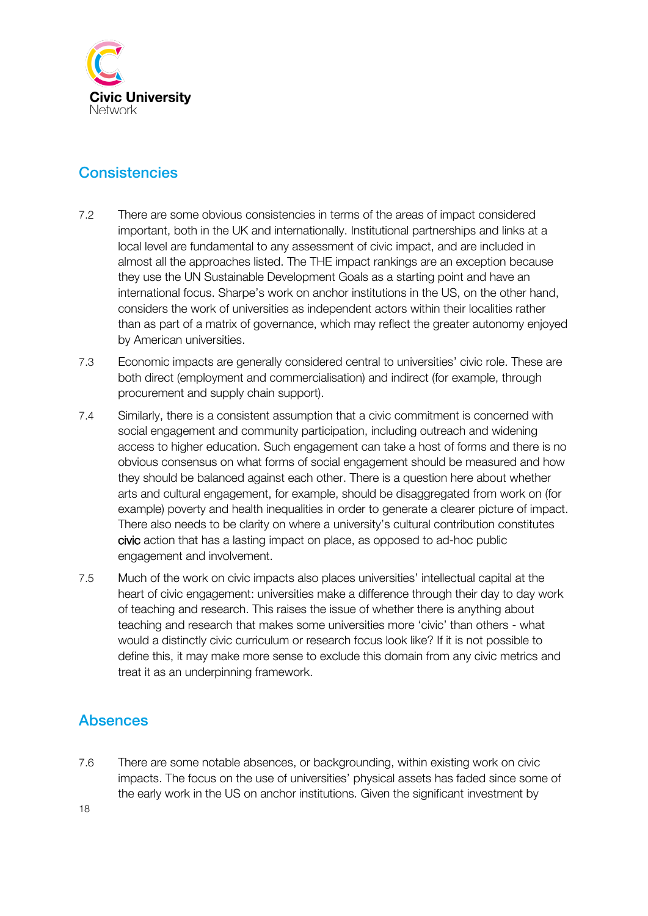

## **Consistencies**

- 7.2 There are some obvious consistencies in terms of the areas of impact considered important, both in the UK and internationally. Institutional partnerships and links at a local level are fundamental to any assessment of civic impact, and are included in almost all the approaches listed. The THE impact rankings are an exception because they use the UN Sustainable Development Goals as a starting point and have an international focus. Sharpe's work on anchor institutions in the US, on the other hand, considers the work of universities as independent actors within their localities rather than as part of a matrix of governance, which may reflect the greater autonomy enjoyed by American universities.
- 7.3 Economic impacts are generally considered central to universities' civic role. These are both direct (employment and commercialisation) and indirect (for example, through procurement and supply chain support).
- 7.4 Similarly, there is a consistent assumption that a civic commitment is concerned with social engagement and community participation, including outreach and widening access to higher education. Such engagement can take a host of forms and there is no obvious consensus on what forms of social engagement should be measured and how they should be balanced against each other. There is a question here about whether arts and cultural engagement, for example, should be disaggregated from work on (for example) poverty and health inequalities in order to generate a clearer picture of impact. There also needs to be clarity on where a university's cultural contribution constitutes civic action that has a lasting impact on place, as opposed to ad-hoc public engagement and involvement.
- 7.5 Much of the work on civic impacts also places universities' intellectual capital at the heart of civic engagement: universities make a difference through their day to day work of teaching and research. This raises the issue of whether there is anything about teaching and research that makes some universities more 'civic' than others - what would a distinctly civic curriculum or research focus look like? If it is not possible to define this, it may make more sense to exclude this domain from any civic metrics and treat it as an underpinning framework.

## Absences

7.6 There are some notable absences, or backgrounding, within existing work on civic impacts. The focus on the use of universities' physical assets has faded since some of the early work in the US on anchor institutions. Given the significant investment by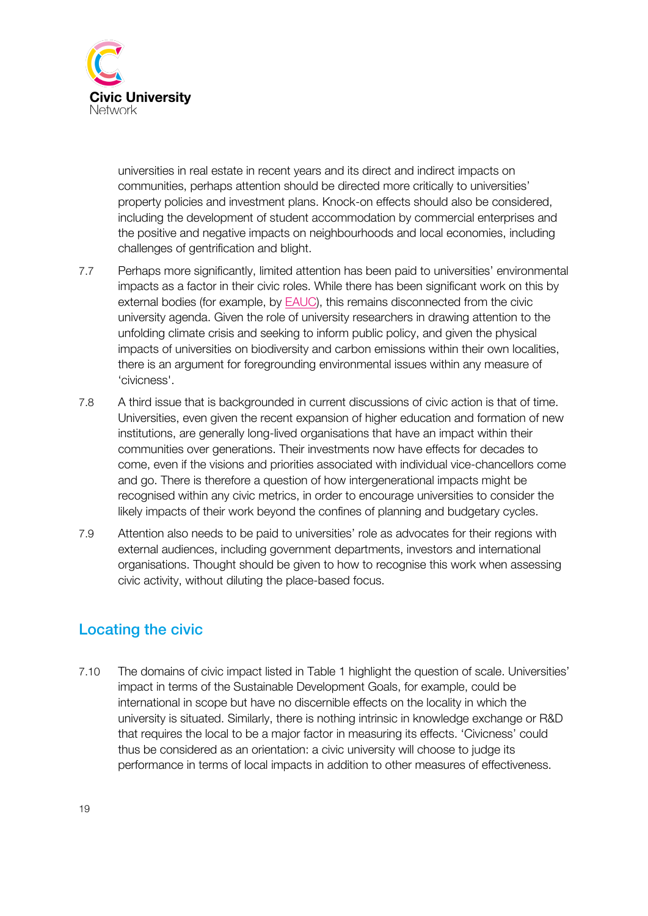

universities in real estate in recent years and its direct and indirect impacts on communities, perhaps attention should be directed more critically to universities' property policies and investment plans. Knock-on effects should also be considered, including the development of student accommodation by commercial enterprises and the positive and negative impacts on neighbourhoods and local economies, including challenges of gentrification and blight.

- 7.7 Perhaps more significantly, limited attention has been paid to universities' environmental impacts as a factor in their civic roles. While there has been significant work on this by external bodies (for example, by EAUC), this remains disconnected from the civic university agenda. Given the role of university researchers in drawing attention to the unfolding climate crisis and seeking to inform public policy, and given the physical impacts of universities on biodiversity and carbon emissions within their own localities, there is an argument for foregrounding environmental issues within any measure of 'civicness'.
- 7.8 A third issue that is backgrounded in current discussions of civic action is that of time. Universities, even given the recent expansion of higher education and formation of new institutions, are generally long-lived organisations that have an impact within their communities over generations. Their investments now have effects for decades to come, even if the visions and priorities associated with individual vice-chancellors come and go. There is therefore a question of how intergenerational impacts might be recognised within any civic metrics, in order to encourage universities to consider the likely impacts of their work beyond the confines of planning and budgetary cycles.
- 7.9 Attention also needs to be paid to universities' role as advocates for their regions with external audiences, including government departments, investors and international organisations. Thought should be given to how to recognise this work when assessing civic activity, without diluting the place-based focus.

## Locating the civic

7.10 The domains of civic impact listed in Table 1 highlight the question of scale. Universities' impact in terms of the Sustainable Development Goals, for example, could be international in scope but have no discernible effects on the locality in which the university is situated. Similarly, there is nothing intrinsic in knowledge exchange or R&D that requires the local to be a major factor in measuring its effects. 'Civicness' could thus be considered as an orientation: a civic university will choose to judge its performance in terms of local impacts in addition to other measures of effectiveness.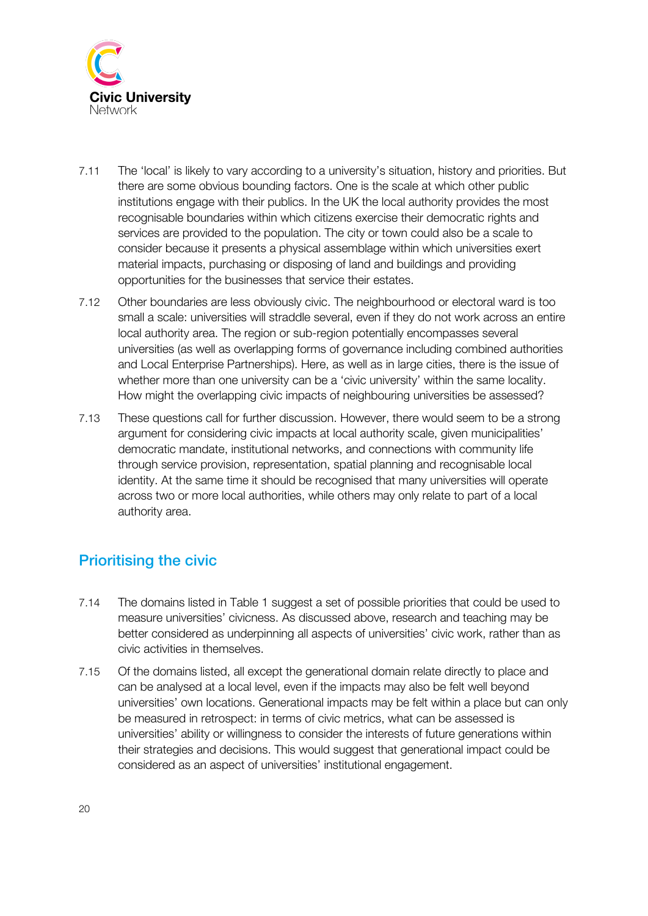

- 7.11 The 'local' is likely to vary according to a university's situation, history and priorities. But there are some obvious bounding factors. One is the scale at which other public institutions engage with their publics. In the UK the local authority provides the most recognisable boundaries within which citizens exercise their democratic rights and services are provided to the population. The city or town could also be a scale to consider because it presents a physical assemblage within which universities exert material impacts, purchasing or disposing of land and buildings and providing opportunities for the businesses that service their estates.
- 7.12 Other boundaries are less obviously civic. The neighbourhood or electoral ward is too small a scale: universities will straddle several, even if they do not work across an entire local authority area. The region or sub-region potentially encompasses several universities (as well as overlapping forms of governance including combined authorities and Local Enterprise Partnerships). Here, as well as in large cities, there is the issue of whether more than one university can be a 'civic university' within the same locality. How might the overlapping civic impacts of neighbouring universities be assessed?
- 7.13 These questions call for further discussion. However, there would seem to be a strong argument for considering civic impacts at local authority scale, given municipalities' democratic mandate, institutional networks, and connections with community life through service provision, representation, spatial planning and recognisable local identity. At the same time it should be recognised that many universities will operate across two or more local authorities, while others may only relate to part of a local authority area.

### Prioritising the civic

- 7.14 The domains listed in Table 1 suggest a set of possible priorities that could be used to measure universities' civicness. As discussed above, research and teaching may be better considered as underpinning all aspects of universities' civic work, rather than as civic activities in themselves.
- 7.15 Of the domains listed, all except the generational domain relate directly to place and can be analysed at a local level, even if the impacts may also be felt well beyond universities' own locations. Generational impacts may be felt within a place but can only be measured in retrospect: in terms of civic metrics, what can be assessed is universities' ability or willingness to consider the interests of future generations within their strategies and decisions. This would suggest that generational impact could be considered as an aspect of universities' institutional engagement.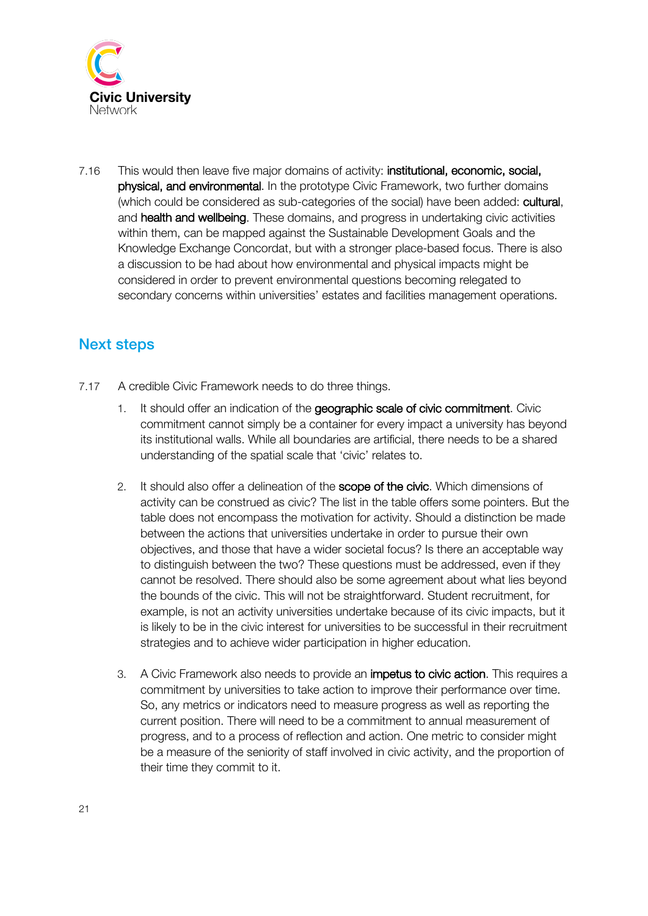

7.16 This would then leave five major domains of activity: institutional, economic, social, physical, and environmental. In the prototype Civic Framework, two further domains (which could be considered as sub-categories of the social) have been added: cultural, and health and wellbeing. These domains, and progress in undertaking civic activities within them, can be mapped against the Sustainable Development Goals and the Knowledge Exchange Concordat, but with a stronger place-based focus. There is also a discussion to be had about how environmental and physical impacts might be considered in order to prevent environmental questions becoming relegated to secondary concerns within universities' estates and facilities management operations.

## Next steps

- 7.17 A credible Civic Framework needs to do three things.
	- It should offer an indication of the geographic scale of civic commitment. Civic commitment cannot simply be a container for every impact a university has beyond its institutional walls. While all boundaries are artificial, there needs to be a shared understanding of the spatial scale that 'civic' relates to.
	- 2. It should also offer a delineation of the scope of the civic. Which dimensions of activity can be construed as civic? The list in the table offers some pointers. But the table does not encompass the motivation for activity. Should a distinction be made between the actions that universities undertake in order to pursue their own objectives, and those that have a wider societal focus? Is there an acceptable way to distinguish between the two? These questions must be addressed, even if they cannot be resolved. There should also be some agreement about what lies beyond the bounds of the civic. This will not be straightforward. Student recruitment, for example, is not an activity universities undertake because of its civic impacts, but it is likely to be in the civic interest for universities to be successful in their recruitment strategies and to achieve wider participation in higher education.
	- 3. A Civic Framework also needs to provide an impetus to civic action. This requires a commitment by universities to take action to improve their performance over time. So, any metrics or indicators need to measure progress as well as reporting the current position. There will need to be a commitment to annual measurement of progress, and to a process of reflection and action. One metric to consider might be a measure of the seniority of staff involved in civic activity, and the proportion of their time they commit to it.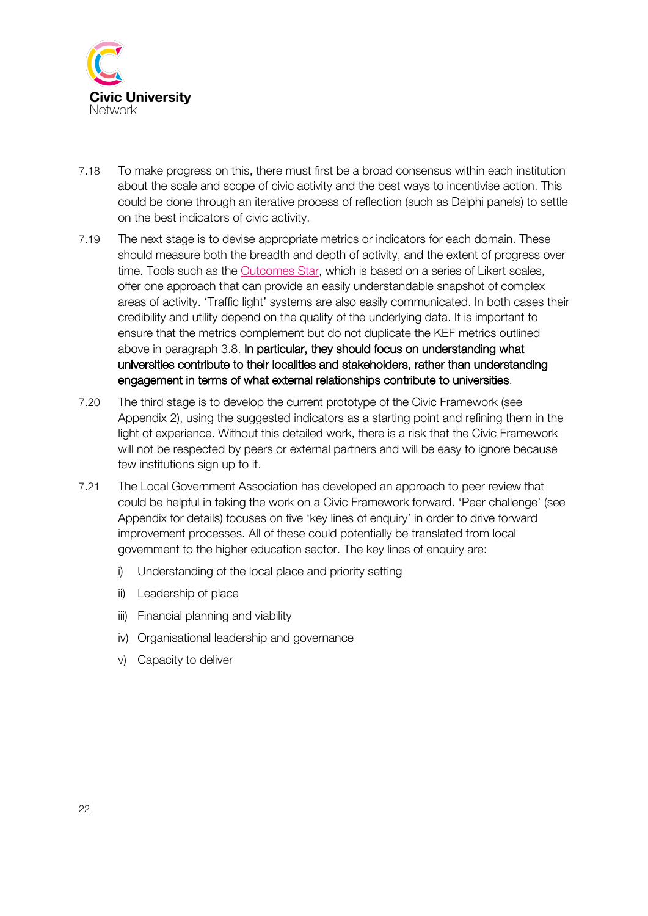

- 7.18 To make progress on this, there must first be a broad consensus within each institution about the scale and scope of civic activity and the best ways to incentivise action. This could be done through an iterative process of reflection (such as Delphi panels) to settle on the best indicators of civic activity.
- 7.19 The next stage is to devise appropriate metrics or indicators for each domain. These should measure both the breadth and depth of activity, and the extent of progress over time. Tools such as the Outcomes Star, which is based on a series of Likert scales, offer one approach that can provide an easily understandable snapshot of complex areas of activity. 'Traffic light' systems are also easily communicated. In both cases their credibility and utility depend on the quality of the underlying data. It is important to ensure that the metrics complement but do not duplicate the KEF metrics outlined above in paragraph 3.8. In particular, they should focus on understanding what universities contribute to their localities and stakeholders, rather than understanding engagement in terms of what external relationships contribute to universities.
- 7.20 The third stage is to develop the current prototype of the Civic Framework (see Appendix 2), using the suggested indicators as a starting point and refining them in the light of experience. Without this detailed work, there is a risk that the Civic Framework will not be respected by peers or external partners and will be easy to ignore because few institutions sign up to it.
- 7.21 The Local Government Association has developed an approach to peer review that could be helpful in taking the work on a Civic Framework forward. 'Peer challenge' (see Appendix for details) focuses on five 'key lines of enquiry' in order to drive forward improvement processes. All of these could potentially be translated from local government to the higher education sector. The key lines of enquiry are:
	- i) Understanding of the local place and priority setting
	- ii) Leadership of place
	- iii) Financial planning and viability
	- iv) Organisational leadership and governance
	- v) Capacity to deliver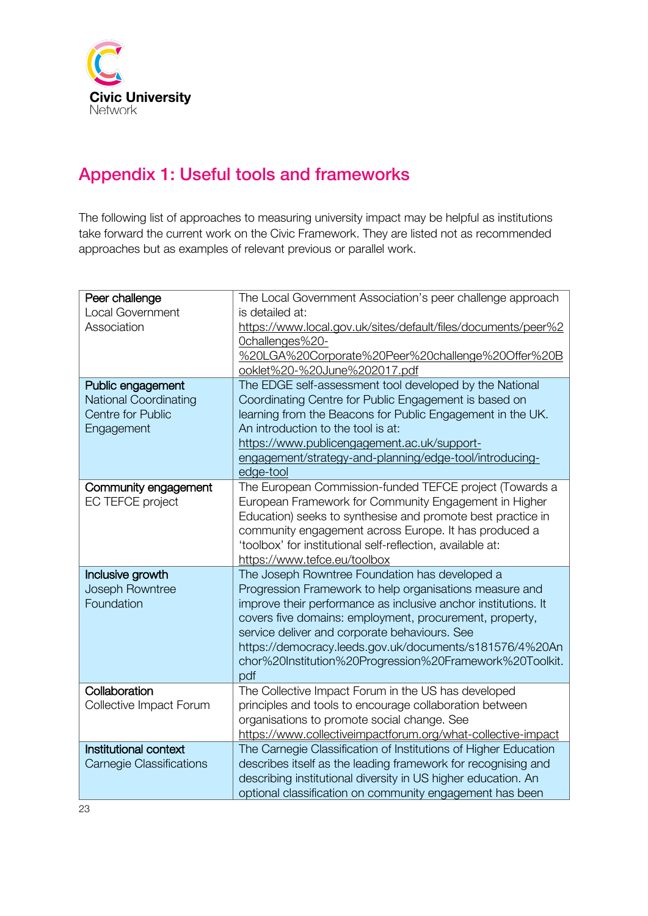

# Appendix 1: Useful tools and frameworks

The following list of approaches to measuring university impact may be helpful as institutions take forward the current work on the Civic Framework. They are listed not as recommended approaches but as examples of relevant previous or parallel work.

| Peer challenge                  | The Local Government Association's peer challenge approach      |
|---------------------------------|-----------------------------------------------------------------|
| <b>Local Government</b>         | is detailed at:                                                 |
| Association                     | https://www.local.gov.uk/sites/default/files/documents/peer%2   |
|                                 | Ochallenges%20-                                                 |
|                                 | %20LGA%20Corporate%20Peer%20challenge%20Offer%20B               |
|                                 | ooklet%20-%20June%202017.pdf                                    |
| Public engagement               | The EDGE self-assessment tool developed by the National         |
| <b>National Coordinating</b>    | Coordinating Centre for Public Engagement is based on           |
| <b>Centre for Public</b>        | learning from the Beacons for Public Engagement in the UK.      |
| Engagement                      | An introduction to the tool is at:                              |
|                                 | https://www.publicengagement.ac.uk/support-                     |
|                                 | engagement/strategy-and-planning/edge-tool/introducing-         |
|                                 | edge-tool                                                       |
| Community engagement            | The European Commission-funded TEFCE project (Towards a         |
| EC TEFCE project                | European Framework for Community Engagement in Higher           |
|                                 | Education) seeks to synthesise and promote best practice in     |
|                                 | community engagement across Europe. It has produced a           |
|                                 | 'toolbox' for institutional self-reflection, available at:      |
|                                 | https://www.tefce.eu/toolbox                                    |
| Inclusive growth                | The Joseph Rowntree Foundation has developed a                  |
| Joseph Rowntree                 | Progression Framework to help organisations measure and         |
| Foundation                      | improve their performance as inclusive anchor institutions. It  |
|                                 | covers five domains: employment, procurement, property,         |
|                                 | service deliver and corporate behaviours. See                   |
|                                 | https://democracy.leeds.gov.uk/documents/s181576/4%20An         |
|                                 | chor%20Institution%20Progression%20Framework%20Toolkit.         |
|                                 | pdf                                                             |
| Collaboration                   | The Collective Impact Forum in the US has developed             |
| Collective Impact Forum         | principles and tools to encourage collaboration between         |
|                                 | organisations to promote social change. See                     |
|                                 | https://www.collectiveimpactforum.org/what-collective-impact    |
| Institutional context           | The Carnegie Classification of Institutions of Higher Education |
| <b>Carnegie Classifications</b> | describes itself as the leading framework for recognising and   |
|                                 | describing institutional diversity in US higher education. An   |
|                                 | optional classification on community engagement has been        |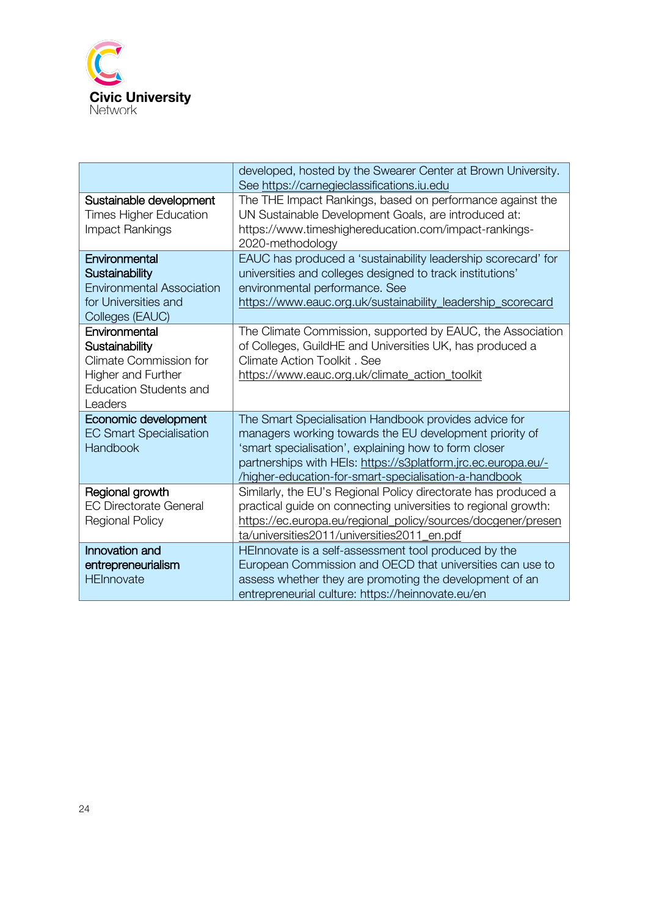

|                                                                                                                                           | developed, hosted by the Swearer Center at Brown University.<br>See https://carnegieclassifications.iu.edu                                                                                                                                                                                         |
|-------------------------------------------------------------------------------------------------------------------------------------------|----------------------------------------------------------------------------------------------------------------------------------------------------------------------------------------------------------------------------------------------------------------------------------------------------|
| Sustainable development<br><b>Times Higher Education</b><br>Impact Rankings                                                               | The THE Impact Rankings, based on performance against the<br>UN Sustainable Development Goals, are introduced at:<br>https://www.timeshighereducation.com/impact-rankings-<br>2020-methodology                                                                                                     |
| Environmental<br>Sustainability<br><b>Environmental Association</b><br>for Universities and<br>Colleges (EAUC)                            | EAUC has produced a 'sustainability leadership scorecard' for<br>universities and colleges designed to track institutions'<br>environmental performance. See<br>https://www.eauc.org.uk/sustainability_leadership_scorecard                                                                        |
| Environmental<br>Sustainability<br><b>Climate Commission for</b><br><b>Higher and Further</b><br><b>Education Students and</b><br>Leaders | The Climate Commission, supported by EAUC, the Association<br>of Colleges, GuildHE and Universities UK, has produced a<br><b>Climate Action Toolkit, See</b><br>https://www.eauc.org.uk/climate_action_toolkit                                                                                     |
| Economic development<br><b>EC Smart Specialisation</b><br><b>Handbook</b>                                                                 | The Smart Specialisation Handbook provides advice for<br>managers working towards the EU development priority of<br>'smart specialisation', explaining how to form closer<br>partnerships with HEIs: https://s3platform.jrc.ec.europa.eu/-<br>higher-education-for-smart-specialisation-a-handbook |
| Regional growth<br><b>EC Directorate General</b><br>Regional Policy                                                                       | Similarly, the EU's Regional Policy directorate has produced a<br>practical guide on connecting universities to regional growth:<br>https://ec.europa.eu/regional_policy/sources/docgener/presen<br>ta/universities2011/universities2011_en.pdf                                                    |
| Innovation and<br>entrepreneurialism<br><b>HEInnovate</b>                                                                                 | HEInnovate is a self-assessment tool produced by the<br>European Commission and OECD that universities can use to<br>assess whether they are promoting the development of an<br>entrepreneurial culture: https://heinnovate.eu/en                                                                  |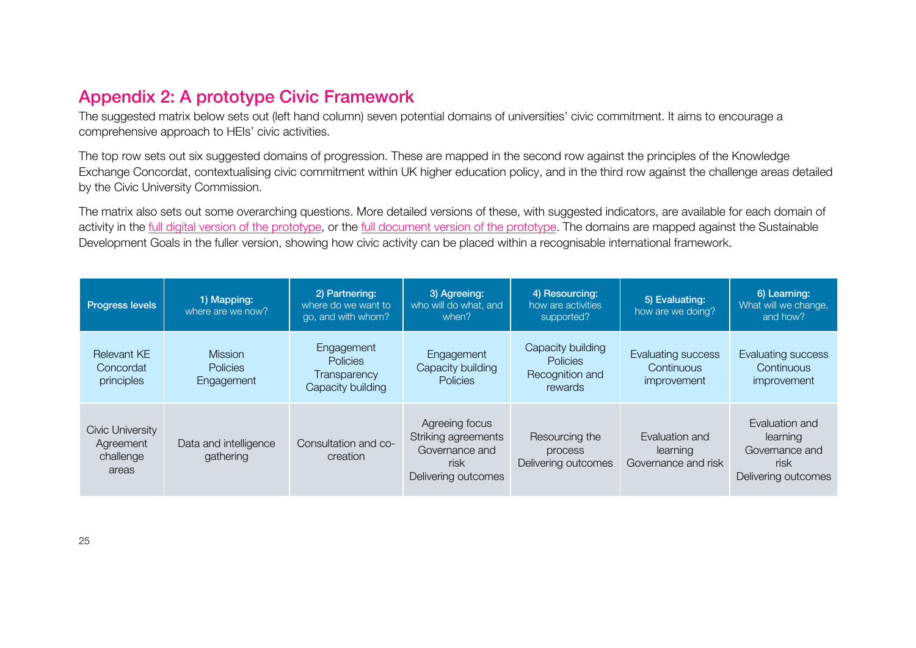# Appendix 2: A prototype Civic Framework

The suggested matrix below sets out (left hand column) seven potential domains of universities' civic commitment. It aims to encourage a comprehensive approach to HEIs' civic activities.

The top row sets out six suggested domains of progression. These are mapped in the second row against the principles of the Knowledge Exchange Concordat, contextualising civic commitment within UK higher education policy, and in the third row against the challenge areas detailed by the Civic University Commission.

The matrix also sets out some overarching questions. More detailed versions of these, with suggested indicators, are available for each domain of activity in the full digital version of the prototype, or the full document version of the prototype. The domains are mapped against the Sustainable Development Goals in the fuller version, showing how civic activity can be placed within a recognisable international framework.

| Progress levels                                     | 1) Mapping:<br>where are we now?                | 2) Partnering:<br>where do we want to<br>go, and with whom? | 3) Agreeing:<br>who will do what, and<br>when?                                         | 4) Resourcing:<br>how are activities<br>supported?                 | 5) Evaluating:<br>how are we doing?                           | 6) Learning:<br>What will we change,<br>and how?                            |
|-----------------------------------------------------|-------------------------------------------------|-------------------------------------------------------------|----------------------------------------------------------------------------------------|--------------------------------------------------------------------|---------------------------------------------------------------|-----------------------------------------------------------------------------|
| <b>Relevant KE</b><br>Concordat<br>principles       | <b>Mission</b><br><b>Policies</b><br>Engagement | Engagement<br>Policies<br>Transparency<br>Capacity building | Engagement<br>Capacity building<br>Policies                                            | Capacity building<br><b>Policies</b><br>Recognition and<br>rewards | Evaluating success<br><b>Continuous</b><br><i>improvement</i> | Evaluating success<br>Continuous<br>improvement                             |
| Civic University<br>Agreement<br>challenge<br>areas | Data and intelligence<br>gathering              | Consultation and co-<br>creation                            | Agreeing focus<br>Striking agreements<br>Governance and<br>risk<br>Delivering outcomes | Resourcing the<br>process<br>Delivering outcomes                   | Evaluation and<br>learning<br>Governance and risk             | Evaluation and<br>learning<br>Governance and<br>risk<br>Delivering outcomes |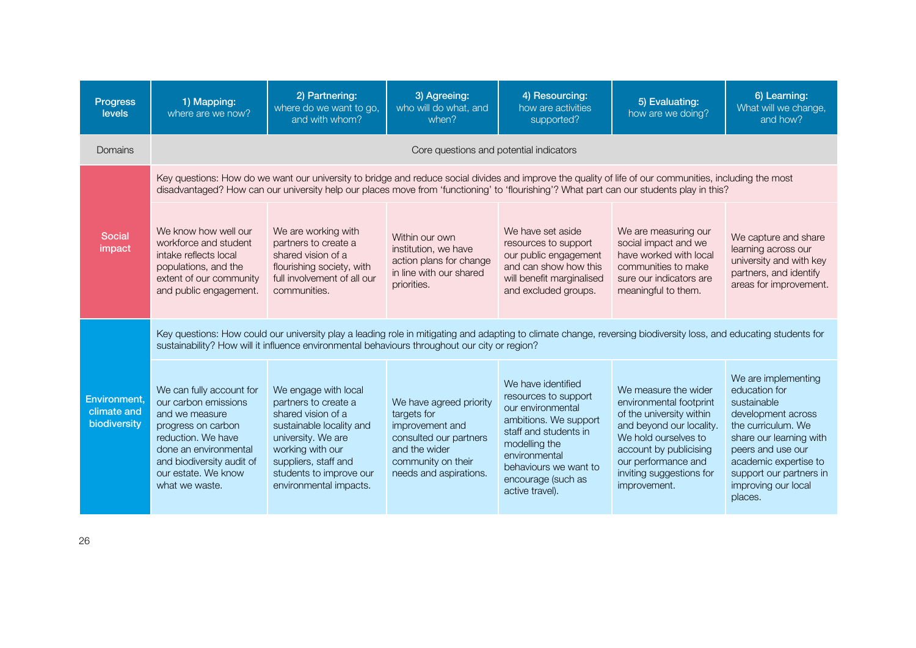| <b>Progress</b><br>levels                          | 1) Mapping:<br>where are we now?                                                                                                                                                                                                                                   | 2) Partnering:<br>where do we want to go,<br>and with whom?                                                                                                                                                                                                                                         | 3) Agreeing:<br>who will do what, and<br>when?                                                                                                       | 4) Resourcing:<br>how are activities<br>supported?                                                                                                                                                                    | 5) Evaluating:<br>how are we doing?                                                                                                                                                                                          | 6) Learning:<br>What will we change,<br>and how?                                                                                                                                                                                      |  |  |  |
|----------------------------------------------------|--------------------------------------------------------------------------------------------------------------------------------------------------------------------------------------------------------------------------------------------------------------------|-----------------------------------------------------------------------------------------------------------------------------------------------------------------------------------------------------------------------------------------------------------------------------------------------------|------------------------------------------------------------------------------------------------------------------------------------------------------|-----------------------------------------------------------------------------------------------------------------------------------------------------------------------------------------------------------------------|------------------------------------------------------------------------------------------------------------------------------------------------------------------------------------------------------------------------------|---------------------------------------------------------------------------------------------------------------------------------------------------------------------------------------------------------------------------------------|--|--|--|
| Domains                                            | Core questions and potential indicators                                                                                                                                                                                                                            |                                                                                                                                                                                                                                                                                                     |                                                                                                                                                      |                                                                                                                                                                                                                       |                                                                                                                                                                                                                              |                                                                                                                                                                                                                                       |  |  |  |
|                                                    |                                                                                                                                                                                                                                                                    | Key questions: How do we want our university to bridge and reduce social divides and improve the quality of life of our communities, including the most<br>disadvantaged? How can our university help our places move from 'functioning' to 'flourishing'? What part can our students play in this? |                                                                                                                                                      |                                                                                                                                                                                                                       |                                                                                                                                                                                                                              |                                                                                                                                                                                                                                       |  |  |  |
| <b>Social</b><br>impact                            | We know how well our<br>workforce and student<br>intake reflects local<br>populations, and the<br>extent of our community<br>and public engagement.                                                                                                                | We are working with<br>partners to create a<br>shared vision of a<br>flourishing society, with<br>full involvement of all our<br>communities.                                                                                                                                                       | Within our own<br>institution, we have<br>action plans for change<br>in line with our shared<br>priorities.                                          | We have set aside<br>resources to support<br>our public engagement<br>and can show how this<br>will benefit marginalised<br>and excluded groups.                                                                      | We are measuring our<br>social impact and we<br>have worked with local<br>communities to make<br>sure our indicators are<br>meaningful to them.                                                                              | We capture and share<br>learning across our<br>university and with key<br>partners, and identify<br>areas for improvement.                                                                                                            |  |  |  |
|                                                    | Key questions: How could our university play a leading role in mitigating and adapting to climate change, reversing biodiversity loss, and educating students for<br>sustainability? How will it influence environmental behaviours throughout our city or region? |                                                                                                                                                                                                                                                                                                     |                                                                                                                                                      |                                                                                                                                                                                                                       |                                                                                                                                                                                                                              |                                                                                                                                                                                                                                       |  |  |  |
| <b>Environment,</b><br>climate and<br>biodiversity | We can fully account for<br>our carbon emissions<br>and we measure<br>progress on carbon<br>reduction. We have<br>done an environmental<br>and biodiversity audit of<br>our estate. We know<br>what we waste.                                                      | We engage with local<br>partners to create a<br>shared vision of a<br>sustainable locality and<br>university. We are<br>working with our<br>suppliers, staff and<br>students to improve our<br>environmental impacts.                                                                               | We have agreed priority<br>targets for<br>improvement and<br>consulted our partners<br>and the wider<br>community on their<br>needs and aspirations. | We have identified<br>resources to support<br>our environmental<br>ambitions. We support<br>staff and students in<br>modelling the<br>environmental<br>behaviours we want to<br>encourage (such as<br>active travel). | We measure the wider<br>environmental footprint<br>of the university within<br>and beyond our locality.<br>We hold ourselves to<br>account by publicising<br>our performance and<br>inviting suggestions for<br>improvement. | We are implementing<br>education for<br>sustainable<br>development across<br>the curriculum. We<br>share our learning with<br>peers and use our<br>academic expertise to<br>support our partners in<br>improving our local<br>places. |  |  |  |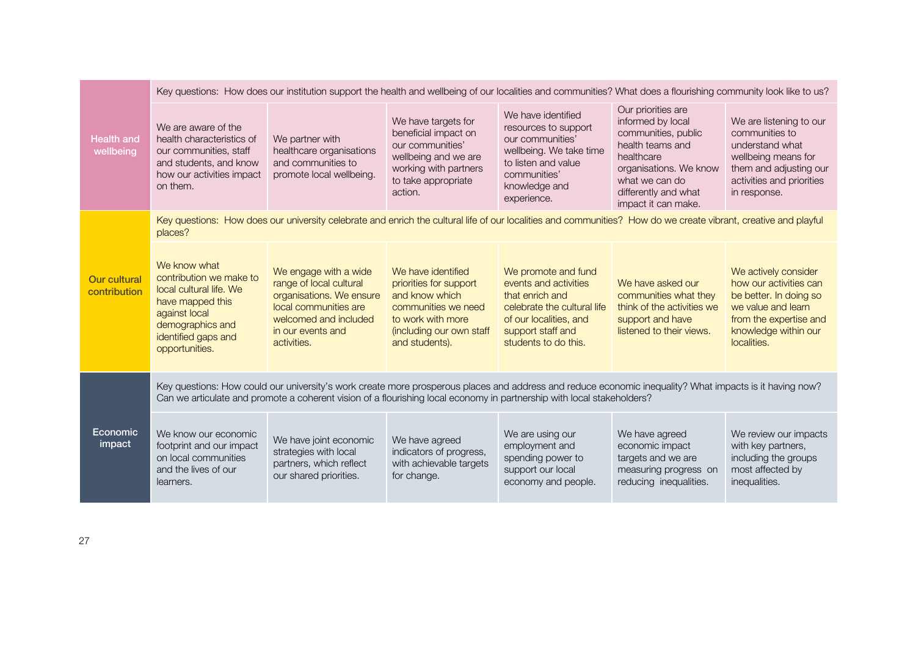|                                     | Key questions: How does our institution support the health and wellbeing of our localities and communities? What does a flourishing community look like to us?                                                                                                                    |                                                                                                                                                                    |                                                                                                                                                          |                                                                                                                                                                       |                                                                                                                                                                                             |                                                                                                                                                                 |
|-------------------------------------|-----------------------------------------------------------------------------------------------------------------------------------------------------------------------------------------------------------------------------------------------------------------------------------|--------------------------------------------------------------------------------------------------------------------------------------------------------------------|----------------------------------------------------------------------------------------------------------------------------------------------------------|-----------------------------------------------------------------------------------------------------------------------------------------------------------------------|---------------------------------------------------------------------------------------------------------------------------------------------------------------------------------------------|-----------------------------------------------------------------------------------------------------------------------------------------------------------------|
| <b>Health and</b><br>wellbeing      | We are aware of the<br>health characteristics of<br>our communities, staff<br>and students, and know<br>how our activities impact<br>on them.                                                                                                                                     | We partner with<br>healthcare organisations<br>and communities to<br>promote local wellbeing.                                                                      | We have targets for<br>beneficial impact on<br>our communities'<br>wellbeing and we are<br>working with partners<br>to take appropriate<br>action.       | We have identified<br>resources to support<br>our communities'<br>wellbeing. We take time<br>to listen and value<br>communities'<br>knowledge and<br>experience.      | Our priorities are<br>informed by local<br>communities, public<br>health teams and<br>healthcare<br>organisations. We know<br>what we can do<br>differently and what<br>impact it can make. | We are listening to our<br>communities to<br>understand what<br>wellbeing means for<br>them and adjusting our<br>activities and priorities<br>in response.      |
|                                     | places?                                                                                                                                                                                                                                                                           | Key questions: How does our university celebrate and enrich the cultural life of our localities and communities? How do we create vibrant, creative and playful    |                                                                                                                                                          |                                                                                                                                                                       |                                                                                                                                                                                             |                                                                                                                                                                 |
| <b>Our cultural</b><br>contribution | We know what<br>contribution we make to<br>local cultural life. We<br>have mapped this<br>against local<br>demographics and<br>identified gaps and<br>opportunities.                                                                                                              | We engage with a wide<br>range of local cultural<br>organisations. We ensure<br>local communities are<br>welcomed and included<br>in our events and<br>activities. | We have identified<br>priorities for support<br>and know which<br>communities we need<br>to work with more<br>(including our own staff<br>and students). | We promote and fund<br>events and activities<br>that enrich and<br>celebrate the cultural life<br>of our localities, and<br>support staff and<br>students to do this. | We have asked our<br>communities what they<br>think of the activities we<br>support and have<br>listened to their views.                                                                    | We actively consider<br>how our activities can<br>be better. In doing so<br>we value and learn<br>from the expertise and<br>knowledge within our<br>localities. |
| Economic<br>impact                  | Key questions: How could our university's work create more prosperous places and address and reduce economic inequality? What impacts is it having now?<br>Can we articulate and promote a coherent vision of a flourishing local economy in partnership with local stakeholders? |                                                                                                                                                                    |                                                                                                                                                          |                                                                                                                                                                       |                                                                                                                                                                                             |                                                                                                                                                                 |
|                                     | We know our economic<br>footprint and our impact<br>on local communities<br>and the lives of our<br>learners.                                                                                                                                                                     | We have joint economic<br>strategies with local<br>partners, which reflect<br>our shared priorities.                                                               | We have agreed<br>indicators of progress,<br>with achievable targets<br>for change.                                                                      | We are using our<br>employment and<br>spending power to<br>support our local<br>economy and people.                                                                   | We have agreed<br>economic impact<br>targets and we are<br>measuring progress on<br>reducing inequalities.                                                                                  | We review our impacts<br>with key partners,<br>including the groups<br>most affected by<br>inequalities.                                                        |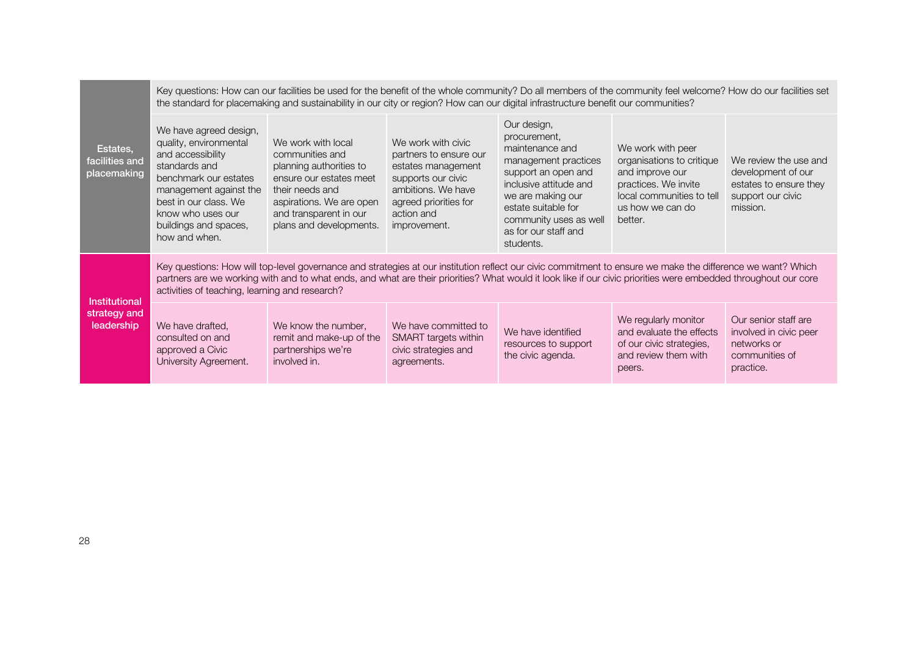| Estates,<br>facilities and<br>placemaking   | Key questions: How can our facilities be used for the benefit of the whole community? Do all members of the community feel welcome? How do our facilities set<br>the standard for placemaking and sustainability in our city or region? How can our digital infrastructure benefit our communities?                                                                              |                                                                                                                                                                                                 |                                                                                                                                                                       |                                                                                                                                                                                                                                    |                                                                                                                                                       |                                                                                                        |
|---------------------------------------------|----------------------------------------------------------------------------------------------------------------------------------------------------------------------------------------------------------------------------------------------------------------------------------------------------------------------------------------------------------------------------------|-------------------------------------------------------------------------------------------------------------------------------------------------------------------------------------------------|-----------------------------------------------------------------------------------------------------------------------------------------------------------------------|------------------------------------------------------------------------------------------------------------------------------------------------------------------------------------------------------------------------------------|-------------------------------------------------------------------------------------------------------------------------------------------------------|--------------------------------------------------------------------------------------------------------|
|                                             | We have agreed design,<br>quality, environmental<br>and accessibility<br>standards and<br>benchmark our estates<br>management against the<br>best in our class. We<br>know who uses our<br>buildings and spaces,<br>how and when.                                                                                                                                                | We work with local<br>communities and<br>planning authorities to<br>ensure our estates meet<br>their needs and<br>aspirations. We are open<br>and transparent in our<br>plans and developments. | We work with civic<br>partners to ensure our<br>estates management<br>supports our civic<br>ambitions. We have<br>agreed priorities for<br>action and<br>improvement. | Our design,<br>procurement,<br>maintenance and<br>management practices<br>support an open and<br>inclusive attitude and<br>we are making our<br>estate suitable for<br>community uses as well<br>as for our staff and<br>students. | We work with peer<br>organisations to critique<br>and improve our<br>practices. We invite<br>local communities to tell<br>us how we can do<br>better. | We review the use and<br>development of our<br>estates to ensure they<br>support our civic<br>mission. |
| Institutional<br>strategy and<br>leadership | Key questions: How will top-level governance and strategies at our institution reflect our civic commitment to ensure we make the difference we want? Which<br>partners are we working with and to what ends, and what are their priorities? What would it look like if our civic priorities were embedded throughout our core<br>activities of teaching, learning and research? |                                                                                                                                                                                                 |                                                                                                                                                                       |                                                                                                                                                                                                                                    |                                                                                                                                                       |                                                                                                        |
|                                             | We have drafted,<br>consulted on and<br>approved a Civic<br>University Agreement.                                                                                                                                                                                                                                                                                                | We know the number,<br>remit and make-up of the<br>partnerships we're<br>involved in.                                                                                                           | We have committed to<br>SMART targets within<br>civic strategies and<br>agreements.                                                                                   | We have identified<br>resources to support<br>the civic agenda.                                                                                                                                                                    | We regularly monitor<br>and evaluate the effects<br>of our civic strategies,<br>and review them with<br>peers.                                        | Our senior staff are<br>involved in civic peer<br>networks or<br>communities of<br>practice.           |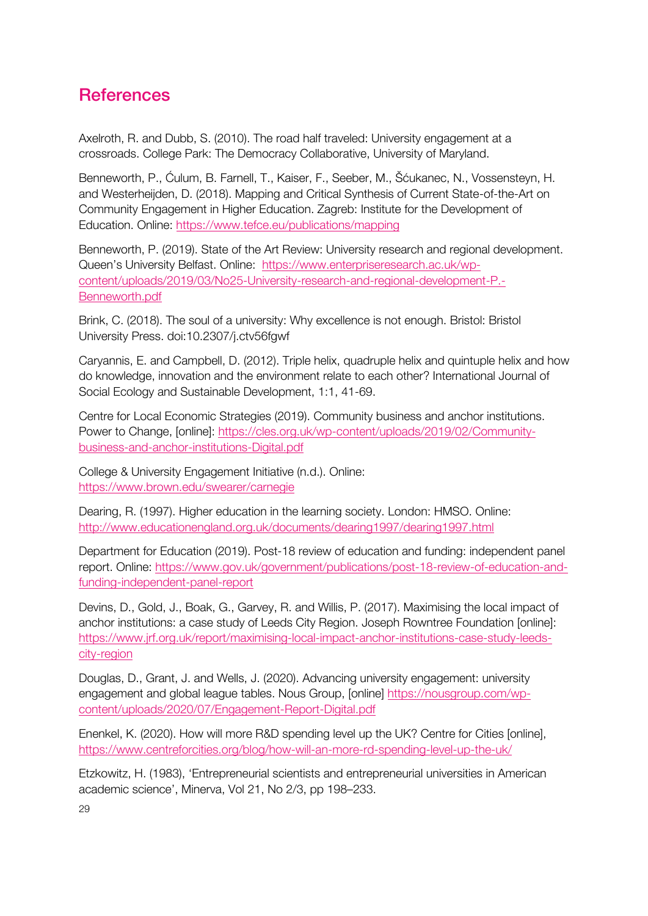# **References**

Axelroth, R. and Dubb, S. (2010). The road half traveled: University engagement at a crossroads. College Park: The Democracy Collaborative, University of Maryland.

Benneworth, P., Ćulum, B. Farnell, T., Kaiser, F., Seeber, M., Šćukanec, N., Vossensteyn, H. and Westerheijden, D. (2018). Mapping and Critical Synthesis of Current State-of-the-Art on Community Engagement in Higher Education. Zagreb: Institute for the Development of Education. Online: https://www.tefce.eu/publications/mapping

Benneworth, P. (2019). State of the Art Review: University research and regional development. Queen's University Belfast. Online: https://www.enterpriseresearch.ac.uk/wpcontent/uploads/2019/03/No25-University-research-and-regional-development-P.- Benneworth.pdf

Brink, C. (2018). The soul of a university: Why excellence is not enough. Bristol: Bristol University Press. doi:10.2307/j.ctv56fgwf

Caryannis, E. and Campbell, D. (2012). Triple helix, quadruple helix and quintuple helix and how do knowledge, innovation and the environment relate to each other? International Journal of Social Ecology and Sustainable Development, 1:1, 41-69.

Centre for Local Economic Strategies (2019). Community business and anchor institutions. Power to Change, [online]: https://cles.org.uk/wp-content/uploads/2019/02/Communitybusiness-and-anchor-institutions-Digital.pdf

College & University Engagement Initiative (n.d.). Online: https://www.brown.edu/swearer/carnegie

Dearing, R. (1997). Higher education in the learning society. London: HMSO. Online: http://www.educationengland.org.uk/documents/dearing1997/dearing1997.html

Department for Education (2019). Post-18 review of education and funding: independent panel report. Online: https://www.gov.uk/government/publications/post-18-review-of-education-andfunding-independent-panel-report

Devins, D., Gold, J., Boak, G., Garvey, R. and Willis, P. (2017). Maximising the local impact of anchor institutions: a case study of Leeds City Region. Joseph Rowntree Foundation [online]: https://www.jrf.org.uk/report/maximising-local-impact-anchor-institutions-case-study-leedscity-region

Douglas, D., Grant, J. and Wells, J. (2020). Advancing university engagement: university engagement and global league tables. Nous Group, [online] https://nousgroup.com/wpcontent/uploads/2020/07/Engagement-Report-Digital.pdf

Enenkel, K. (2020). How will more R&D spending level up the UK? Centre for Cities [online], https://www.centreforcities.org/blog/how-will-an-more-rd-spending-level-up-the-uk/

Etzkowitz, H. (1983), 'Entrepreneurial scientists and entrepreneurial universities in American academic science', Minerva, Vol 21, No 2/3, pp 198–233.

29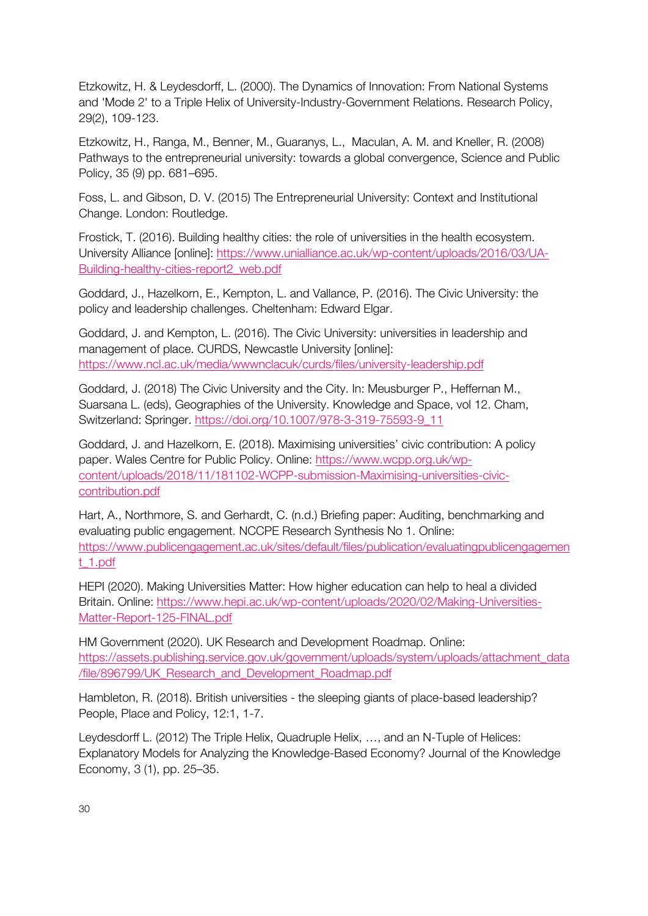Etzkowitz, H. & Leydesdorff, L. (2000). The Dynamics of Innovation: From National Systems and 'Mode 2' to a Triple Helix of University-Industry-Government Relations. Research Policy, 29(2), 109-123.

Etzkowitz, H., Ranga, M., Benner, M., Guaranys, L., Maculan, A. M. and Kneller, R. (2008) Pathways to the entrepreneurial university: towards a global convergence, Science and Public Policy, 35 (9) pp. 681–695.

Foss, L. and Gibson, D. V. (2015) The Entrepreneurial University: Context and Institutional Change. London: Routledge.

Frostick, T. (2016). Building healthy cities: the role of universities in the health ecosystem. University Alliance [online]: https://www.unialliance.ac.uk/wp-content/uploads/2016/03/UA-Building-healthy-cities-report2\_web.pdf

Goddard, J., Hazelkorn, E., Kempton, L. and Vallance, P. (2016). The Civic University: the policy and leadership challenges. Cheltenham: Edward Elgar.

Goddard, J. and Kempton, L. (2016). The Civic University: universities in leadership and management of place. CURDS, Newcastle University [online]: https://www.ncl.ac.uk/media/wwwnclacuk/curds/files/university-leadership.pdf

Goddard, J. (2018) The Civic University and the City. In: Meusburger P., Heffernan M., Suarsana L. (eds), Geographies of the University. Knowledge and Space, vol 12. Cham, Switzerland: Springer. https://doi.org/10.1007/978-3-319-75593-9\_11

Goddard, J. and Hazelkorn, E. (2018). Maximising universities' civic contribution: A policy paper. Wales Centre for Public Policy. Online: https://www.wcpp.org.uk/wpcontent/uploads/2018/11/181102-WCPP-submission-Maximising-universities-civiccontribution.pdf

Hart, A., Northmore, S. and Gerhardt, C. (n.d.) Briefing paper: Auditing, benchmarking and evaluating public engagement. NCCPE Research Synthesis No 1. Online: https://www.publicengagement.ac.uk/sites/default/files/publication/evaluatingpublicengagemen t\_1.pdf

HEPI (2020). Making Universities Matter: How higher education can help to heal a divided Britain. Online: https://www.hepi.ac.uk/wp-content/uploads/2020/02/Making-Universities-Matter-Report-125-FINAL.pdf

HM Government (2020). UK Research and Development Roadmap. Online: https://assets.publishing.service.gov.uk/government/uploads/system/uploads/attachment\_data /file/896799/UK\_Research\_and\_Development\_Roadmap.pdf

Hambleton, R. (2018). British universities - the sleeping giants of place-based leadership? People, Place and Policy, 12:1, 1-7.

Leydesdorff L. (2012) The Triple Helix, Quadruple Helix, …, and an N-Tuple of Helices: Explanatory Models for Analyzing the Knowledge-Based Economy? Journal of the Knowledge Economy, 3 (1), pp. 25–35.